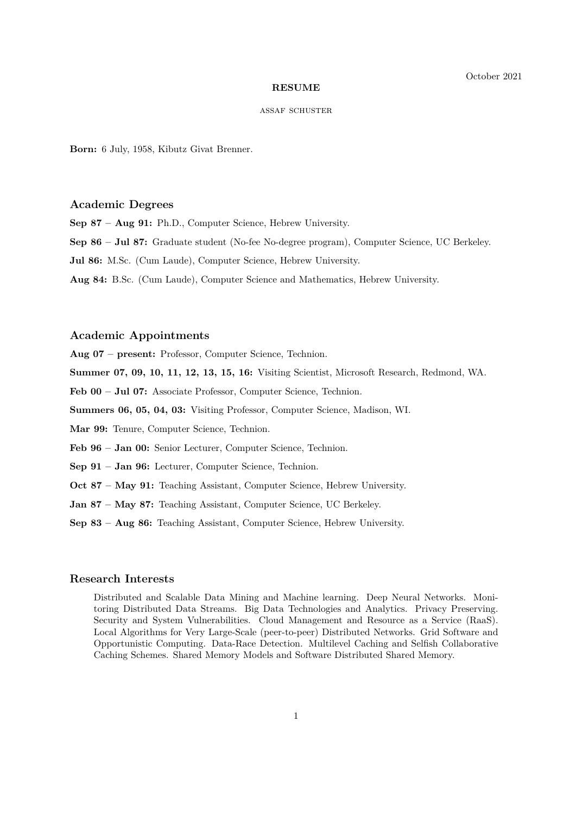#### **RESUME**

#### assaf schuster

**Born:** 6 July, 1958, Kibutz Givat Brenner.

#### **Academic Degrees**

**Sep 87 – Aug 91:** Ph.D., Computer Science, Hebrew University.

- **Sep 86 Jul 87:** Graduate student (No-fee No-degree program), Computer Science, UC Berkeley.
- **Jul 86:** M.Sc. (Cum Laude), Computer Science, Hebrew University.
- **Aug 84:** B.Sc. (Cum Laude), Computer Science and Mathematics, Hebrew University.

# **Academic Appointments**

**Aug 07 – present:** Professor, Computer Science, Technion.

- **Summer 07, 09, 10, 11, 12, 13, 15, 16:** Visiting Scientist, Microsoft Research, Redmond, WA.
- Feb 00 Jul 07: Associate Professor, Computer Science, Technion.
- **Summers 06, 05, 04, 03:** Visiting Professor, Computer Science, Madison, WI.
- **Mar 99:** Tenure, Computer Science, Technion.
- **Feb 96 Jan 00:** Senior Lecturer, Computer Science, Technion.
- **Sep 91 Jan 96:** Lecturer, Computer Science, Technion.
- **Oct 87 May 91:** Teaching Assistant, Computer Science, Hebrew University.
- **Jan 87 May 87:** Teaching Assistant, Computer Science, UC Berkeley.
- **Sep 83 Aug 86:** Teaching Assistant, Computer Science, Hebrew University.

# **Research Interests**

Distributed and Scalable Data Mining and Machine learning. Deep Neural Networks. Monitoring Distributed Data Streams. Big Data Technologies and Analytics. Privacy Preserving. Security and System Vulnerabilities. Cloud Management and Resource as a Service (RaaS). Local Algorithms for Very Large-Scale (peer-to-peer) Distributed Networks. Grid Software and Opportunistic Computing. Data-Race Detection. Multilevel Caching and Selfish Collaborative Caching Schemes. Shared Memory Models and Software Distributed Shared Memory.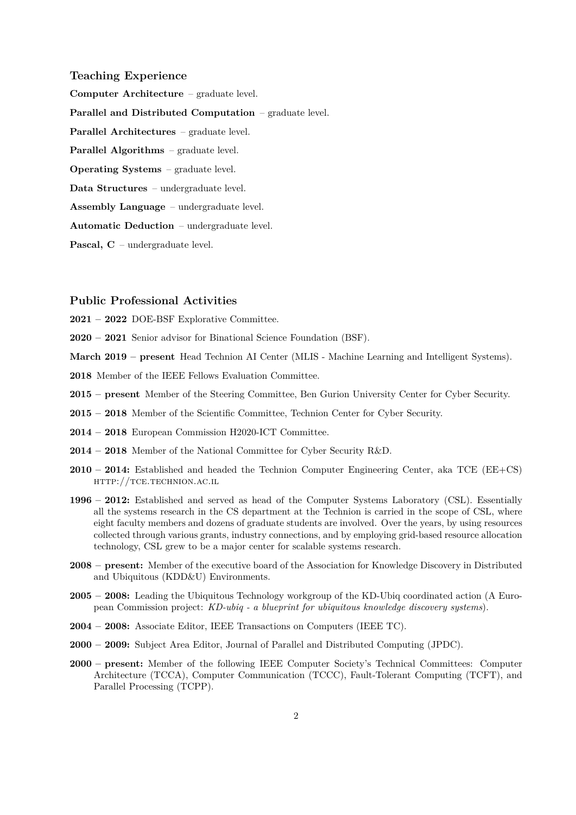## **Teaching Experience**

**Computer Architecture** – graduate level.

**Parallel and Distributed Computation** – graduate level.

**Parallel Architectures** – graduate level.

**Parallel Algorithms** – graduate level.

**Operating Systems** – graduate level.

**Data Structures** – undergraduate level.

**Assembly Language** – undergraduate level.

**Automatic Deduction** – undergraduate level.

**Pascal, C** – undergraduate level.

## **Public Professional Activities**

**2021 – 2022** DOE-BSF Explorative Committee.

**2020 – 2021** Senior advisor for Binational Science Foundation (BSF).

**March 2019 – present** Head Technion AI Center (MLIS - Machine Learning and Intelligent Systems).

**2018** Member of the IEEE Fellows Evaluation Committee.

- **2015 present** Member of the Steering Committee, Ben Gurion University Center for Cyber Security.
- **2015 2018** Member of the Scientific Committee, Technion Center for Cyber Security.
- **2014 2018** European Commission H2020-ICT Committee.
- **2014 2018** Member of the National Committee for Cyber Security R&D.
- **2010 2014:** Established and headed the Technion Computer Engineering Center, aka TCE (EE+CS) http://tce.technion.ac.il
- **1996 2012:** Established and served as head of the Computer Systems Laboratory (CSL). Essentially all the systems research in the CS department at the Technion is carried in the scope of CSL, where eight faculty members and dozens of graduate students are involved. Over the years, by using resources collected through various grants, industry connections, and by employing grid-based resource allocation technology, CSL grew to be a major center for scalable systems research.
- **2008 present:** Member of the executive board of the Association for Knowledge Discovery in Distributed and Ubiquitous (KDD&U) Environments.
- **2005 2008:** Leading the Ubiquitous Technology workgroup of the KD-Ubiq coordinated action (A European Commission project: *KD-ubiq - a blueprint for ubiquitous knowledge discovery systems*).
- **2004 2008:** Associate Editor, IEEE Transactions on Computers (IEEE TC).
- **2000 2009:** Subject Area Editor, Journal of Parallel and Distributed Computing (JPDC).
- **2000 present:** Member of the following IEEE Computer Society's Technical Committees: Computer Architecture (TCCA), Computer Communication (TCCC), Fault-Tolerant Computing (TCFT), and Parallel Processing (TCPP).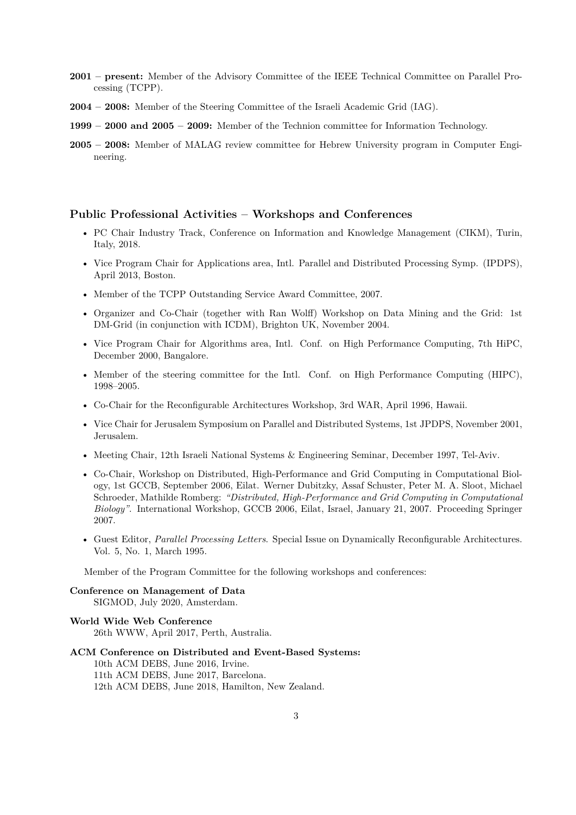- **2001 present:** Member of the Advisory Committee of the IEEE Technical Committee on Parallel Processing (TCPP).
- **2004 2008:** Member of the Steering Committee of the Israeli Academic Grid (IAG).
- **1999 2000 and 2005 2009:** Member of the Technion committee for Information Technology.
- **2005 2008:** Member of MALAG review committee for Hebrew University program in Computer Engineering.

#### **Public Professional Activities – Workshops and Conferences**

- PC Chair Industry Track, Conference on Information and Knowledge Management (CIKM), Turin, Italy, 2018.
- Vice Program Chair for Applications area, Intl. Parallel and Distributed Processing Symp. (IPDPS), April 2013, Boston.
- Member of the TCPP Outstanding Service Award Committee, 2007.
- Organizer and Co-Chair (together with Ran Wolff) Workshop on Data Mining and the Grid: 1st DM-Grid (in conjunction with ICDM), Brighton UK, November 2004.
- Vice Program Chair for Algorithms area, Intl. Conf. on High Performance Computing, 7th HiPC, December 2000, Bangalore.
- Member of the steering committee for the Intl. Conf. on High Performance Computing (HIPC), 1998–2005.
- Co-Chair for the Reconfigurable Architectures Workshop, 3rd WAR, April 1996, Hawaii.
- Vice Chair for Jerusalem Symposium on Parallel and Distributed Systems, 1st JPDPS, November 2001, Jerusalem.
- Meeting Chair, 12th Israeli National Systems & Engineering Seminar, December 1997, Tel-Aviv.
- Co-Chair, Workshop on Distributed, High-Performance and Grid Computing in Computational Biology, 1st GCCB, September 2006, Eilat. Werner Dubitzky, Assaf Schuster, Peter M. A. Sloot, Michael Schroeder, Mathilde Romberg: *"Distributed, High-Performance and Grid Computing in Computational Biology"*. International Workshop, GCCB 2006, Eilat, Israel, January 21, 2007. Proceeding Springer 2007.
- Guest Editor, *Parallel Processing Letters*. Special Issue on Dynamically Reconfigurable Architectures. Vol. 5, No. 1, March 1995.

Member of the Program Committee for the following workshops and conferences:

**Conference on Management of Data** SIGMOD, July 2020, Amsterdam.

# **World Wide Web Conference**

26th WWW, April 2017, Perth, Australia.

### **ACM Conference on Distributed and Event-Based Systems:**

10th ACM DEBS, June 2016, Irvine. 11th ACM DEBS, June 2017, Barcelona. 12th ACM DEBS, June 2018, Hamilton, New Zealand.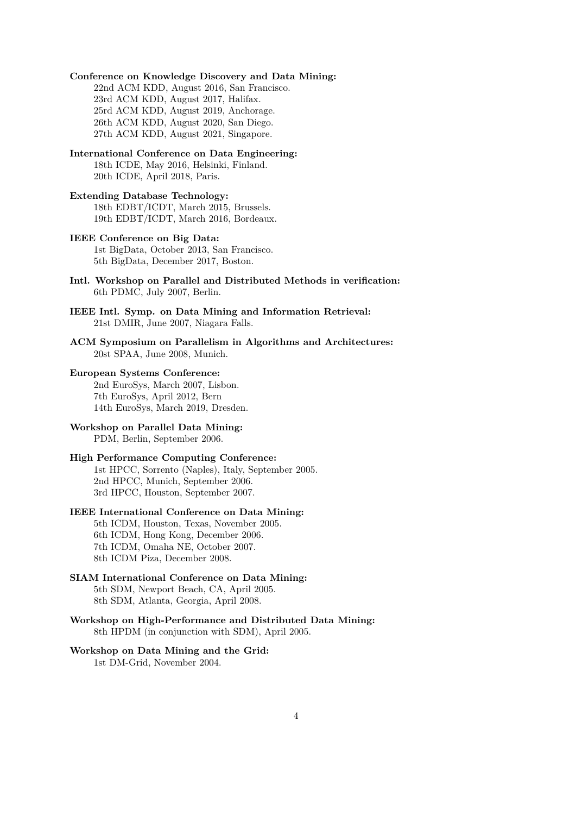**Conference on Knowledge Discovery and Data Mining:** 22nd ACM KDD, August 2016, San Francisco. 23rd ACM KDD, August 2017, Halifax. 25rd ACM KDD, August 2019, Anchorage. 26th ACM KDD, August 2020, San Diego. 27th ACM KDD, August 2021, Singapore. **International Conference on Data Engineering:** 18th ICDE, May 2016, Helsinki, Finland. 20th ICDE, April 2018, Paris. **Extending Database Technology:** 18th EDBT/ICDT, March 2015, Brussels. 19th EDBT/ICDT, March 2016, Bordeaux. **IEEE Conference on Big Data:** 1st BigData, October 2013, San Francisco. 5th BigData, December 2017, Boston. **Intl. Workshop on Parallel and Distributed Methods in verification:** 6th PDMC, July 2007, Berlin. **IEEE Intl. Symp. on Data Mining and Information Retrieval:** 21st DMIR, June 2007, Niagara Falls. **ACM Symposium on Parallelism in Algorithms and Architectures:** 20st SPAA, June 2008, Munich. **European Systems Conference:** 2nd EuroSys, March 2007, Lisbon. 7th EuroSys, April 2012, Bern 14th EuroSys, March 2019, Dresden. **Workshop on Parallel Data Mining:** PDM, Berlin, September 2006. **High Performance Computing Conference:** 1st HPCC, Sorrento (Naples), Italy, September 2005. 2nd HPCC, Munich, September 2006. 3rd HPCC, Houston, September 2007. **IEEE International Conference on Data Mining:**

5th ICDM, Houston, Texas, November 2005. 6th ICDM, Hong Kong, December 2006. 7th ICDM, Omaha NE, October 2007. 8th ICDM Piza, December 2008.

## **SIAM International Conference on Data Mining:** 5th SDM, Newport Beach, CA, April 2005. 8th SDM, Atlanta, Georgia, April 2008.

**Workshop on High-Performance and Distributed Data Mining:** 8th HPDM (in conjunction with SDM), April 2005.

# **Workshop on Data Mining and the Grid:**

1st DM-Grid, November 2004.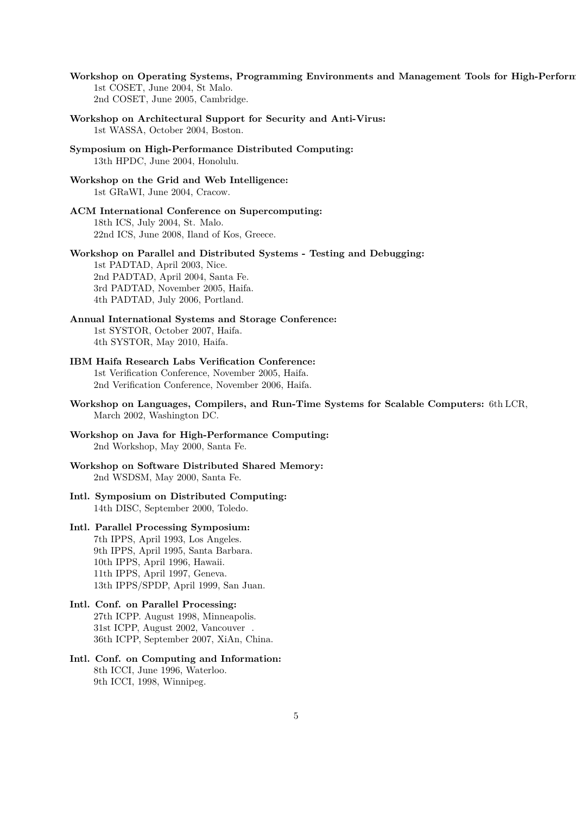- Workshop on Operating Systems, Programming Environments and Management Tools for High-Perform 1st COSET, June 2004, St Malo. 2nd COSET, June 2005, Cambridge.
- **Workshop on Architectural Support for Security and Anti-Virus:** 1st WASSA, October 2004, Boston.
- **Symposium on High-Performance Distributed Computing:** 13th HPDC, June 2004, Honolulu.
- **Workshop on the Grid and Web Intelligence:** 1st GRaWI, June 2004, Cracow.
- **ACM International Conference on Supercomputing:** 18th ICS, July 2004, St. Malo. 22nd ICS, June 2008, Iland of Kos, Greece.
- **Workshop on Parallel and Distributed Systems Testing and Debugging:**

1st PADTAD, April 2003, Nice. 2nd PADTAD, April 2004, Santa Fe. 3rd PADTAD, November 2005, Haifa. 4th PADTAD, July 2006, Portland.

- **Annual International Systems and Storage Conference:** 1st SYSTOR, October 2007, Haifa. 4th SYSTOR, May 2010, Haifa.
- **IBM Haifa Research Labs Verification Conference:** 1st Verification Conference, November 2005, Haifa. 2nd Verification Conference, November 2006, Haifa.
- **Workshop on Languages, Compilers, and Run-Time Systems for Scalable Computers:** 6th LCR, March 2002, Washington DC.
- **Workshop on Java for High-Performance Computing:** 2nd Workshop, May 2000, Santa Fe.
- **Workshop on Software Distributed Shared Memory:** 2nd WSDSM, May 2000, Santa Fe.
- **Intl. Symposium on Distributed Computing:** 14th DISC, September 2000, Toledo.
- **Intl. Parallel Processing Symposium:** 7th IPPS, April 1993, Los Angeles. 9th IPPS, April 1995, Santa Barbara. 10th IPPS, April 1996, Hawaii. 11th IPPS, April 1997, Geneva. 13th IPPS/SPDP, April 1999, San Juan.
- **Intl. Conf. on Parallel Processing:** 27th ICPP. August 1998, Minneapolis. 31st ICPP, August 2002, Vancouver . 36th ICPP, September 2007, XiAn, China.
- **Intl. Conf. on Computing and Information:** 8th ICCI, June 1996, Waterloo. 9th ICCI, 1998, Winnipeg.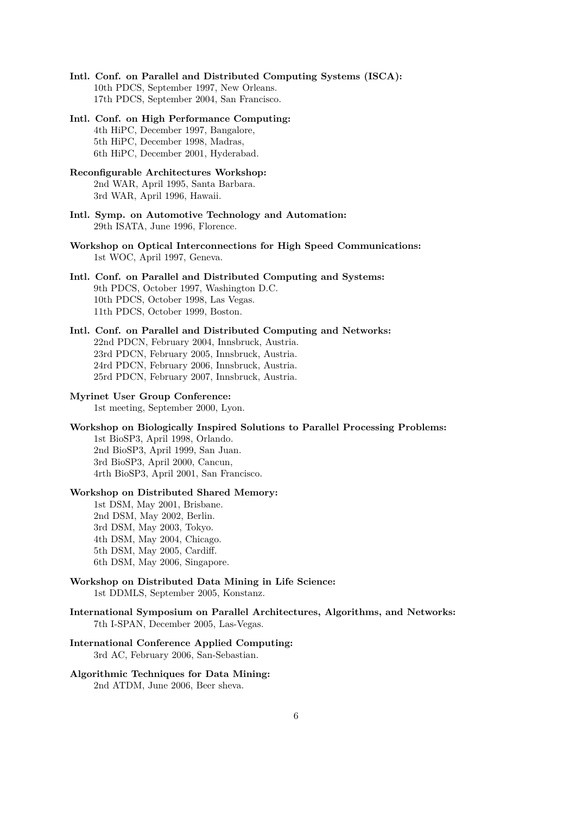- **Intl. Conf. on Parallel and Distributed Computing Systems (ISCA):** 10th PDCS, September 1997, New Orleans. 17th PDCS, September 2004, San Francisco.
- **Intl. Conf. on High Performance Computing:** 4th HiPC, December 1997, Bangalore, 5th HiPC, December 1998, Madras, 6th HiPC, December 2001, Hyderabad.
- **Reconfigurable Architectures Workshop:** 2nd WAR, April 1995, Santa Barbara. 3rd WAR, April 1996, Hawaii.
- **Intl. Symp. on Automotive Technology and Automation:** 29th ISATA, June 1996, Florence.
- **Workshop on Optical Interconnections for High Speed Communications:** 1st WOC, April 1997, Geneva.

# **Intl. Conf. on Parallel and Distributed Computing and Systems:** 9th PDCS, October 1997, Washington D.C. 10th PDCS, October 1998, Las Vegas. 11th PDCS, October 1999, Boston.

# **Intl. Conf. on Parallel and Distributed Computing and Networks:** 22nd PDCN, February 2004, Innsbruck, Austria. 23rd PDCN, February 2005, Innsbruck, Austria. 24rd PDCN, February 2006, Innsbruck, Austria. 25rd PDCN, February 2007, Innsbruck, Austria.

## **Myrinet User Group Conference:** 1st meeting, September 2000, Lyon.

**Workshop on Biologically Inspired Solutions to Parallel Processing Problems:** 1st BioSP3, April 1998, Orlando.

2nd BioSP3, April 1999, San Juan. 3rd BioSP3, April 2000, Cancun, 4rth BioSP3, April 2001, San Francisco.

# **Workshop on Distributed Shared Memory:**

1st DSM, May 2001, Brisbane. 2nd DSM, May 2002, Berlin. 3rd DSM, May 2003, Tokyo. 4th DSM, May 2004, Chicago. 5th DSM, May 2005, Cardiff. 6th DSM, May 2006, Singapore.

- **Workshop on Distributed Data Mining in Life Science:** 1st DDMLS, September 2005, Konstanz.
- **International Symposium on Parallel Architectures, Algorithms, and Networks:** 7th I-SPAN, December 2005, Las-Vegas.

### **International Conference Applied Computing:** 3rd AC, February 2006, San-Sebastian.

# **Algorithmic Techniques for Data Mining:**

2nd ATDM, June 2006, Beer sheva.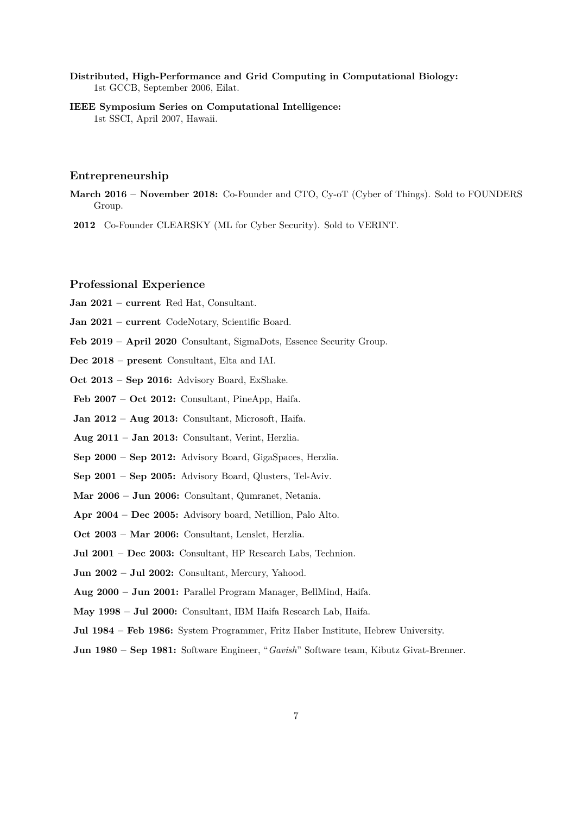**Distributed, High-Performance and Grid Computing in Computational Biology:** 1st GCCB, September 2006, Eilat.

**IEEE Symposium Series on Computational Intelligence:** 1st SSCI, April 2007, Hawaii.

## **Entrepreneurship**

**March 2016 – November 2018:** Co-Founder and CTO, Cy-oT (Cyber of Things). Sold to FOUNDERS Group.

**2012** Co-Founder CLEARSKY (ML for Cyber Security). Sold to VERINT.

## **Professional Experience**

**Jan 2021 – current** Red Hat, Consultant.

- **Jan 2021 current** CodeNotary, Scientific Board.
- **Feb 2019 April 2020** Consultant, SigmaDots, Essence Security Group.
- **Dec 2018 present** Consultant, Elta and IAI.
- **Oct 2013 Sep 2016:** Advisory Board, ExShake.
- **Feb 2007 Oct 2012:** Consultant, PineApp, Haifa.
- **Jan 2012 Aug 2013:** Consultant, Microsoft, Haifa.
- **Aug 2011 Jan 2013:** Consultant, Verint, Herzlia.
- **Sep 2000 Sep 2012:** Advisory Board, GigaSpaces, Herzlia.
- **Sep 2001 Sep 2005:** Advisory Board, Qlusters, Tel-Aviv.
- **Mar 2006 Jun 2006:** Consultant, Qumranet, Netania.
- **Apr 2004 Dec 2005:** Advisory board, Netillion, Palo Alto.
- **Oct 2003 Mar 2006:** Consultant, Lenslet, Herzlia.
- **Jul 2001 Dec 2003:** Consultant, HP Research Labs, Technion.
- **Jun 2002 Jul 2002:** Consultant, Mercury, Yahood.
- **Aug 2000 Jun 2001:** Parallel Program Manager, BellMind, Haifa.
- **May 1998 Jul 2000:** Consultant, IBM Haifa Research Lab, Haifa.
- **Jul 1984 Feb 1986:** System Programmer, Fritz Haber Institute, Hebrew University.
- **Jun 1980 Sep 1981:** Software Engineer, "*Gavish*" Software team, Kibutz Givat-Brenner.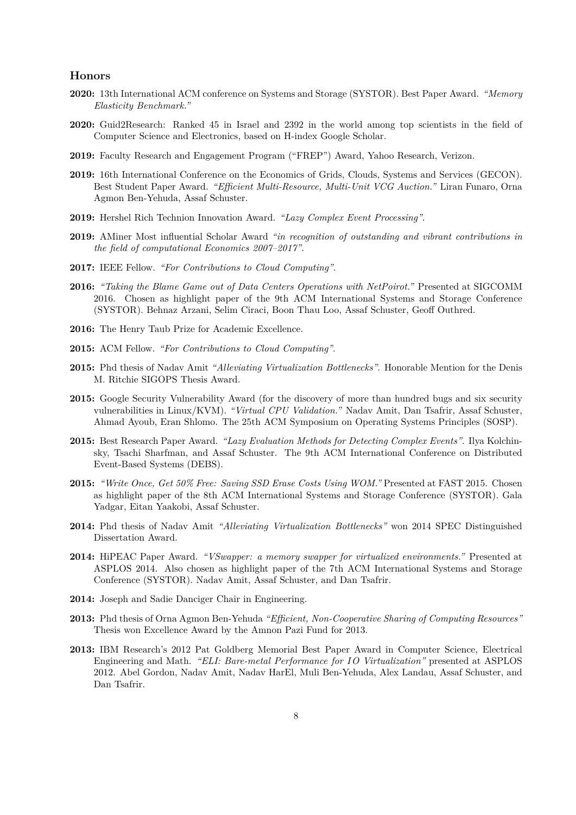## **Honors**

- **2020:** 13th International ACM conference on Systems and Storage (SYSTOR). Best Paper Award. *"Memory Elasticity Benchmark."*
- **2020:** Guid2Research: Ranked 45 in Israel and 2392 in the world among top scientists in the field of Computer Science and Electronics, based on H-index Google Scholar.
- **2019:** Faculty Research and Engagement Program ("FREP") Award, Yahoo Research, Verizon.
- **2019:** 16th International Conference on the Economics of Grids, Clouds, Systems and Services (GECON). Best Student Paper Award. *"Efficient Multi-Resource, Multi-Unit VCG Auction."* Liran Funaro, Orna Agmon Ben-Yehuda, Assaf Schuster.
- **2019:** Hershel Rich Technion Innovation Award. *"Lazy Complex Event Processing"*.
- **2019:** AMiner Most influential Scholar Award *"in recognition of outstanding and vibrant contributions in the field of computational Economics 2007–2017"*.
- **2017:** IEEE Fellow. *"For Contributions to Cloud Computing"*.
- **2016:** *"Taking the Blame Game out of Data Centers Operations with NetPoirot."* Presented at SIGCOMM 2016. Chosen as highlight paper of the 9th ACM International Systems and Storage Conference (SYSTOR). Behnaz Arzani, Selim Ciraci, Boon Thau Loo, Assaf Schuster, Geoff Outhred.
- **2016:** The Henry Taub Prize for Academic Excellence.
- **2015:** ACM Fellow. *"For Contributions to Cloud Computing"*.
- **2015:** Phd thesis of Nadav Amit *"Alleviating Virtualization Bottlenecks"*. Honorable Mention for the Denis M. Ritchie SIGOPS Thesis Award.
- **2015:** Google Security Vulnerability Award (for the discovery of more than hundred bugs and six security vulnerabilities in Linux/KVM). *"Virtual CPU Validation."* Nadav Amit, Dan Tsafrir, Assaf Schuster, Ahmad Ayoub, Eran Shlomo. The 25th ACM Symposium on Operating Systems Principles (SOSP).
- **2015:** Best Research Paper Award. *"Lazy Evaluation Methods for Detecting Complex Events"*. Ilya Kolchinsky, Tsachi Sharfman, and Assaf Schuster. The 9th ACM International Conference on Distributed Event-Based Systems (DEBS).
- **2015:** *"Write Once, Get 50% Free: Saving SSD Erase Costs Using WOM."* Presented at FAST 2015. Chosen as highlight paper of the 8th ACM International Systems and Storage Conference (SYSTOR). Gala Yadgar, Eitan Yaakobi, Assaf Schuster.
- **2014:** Phd thesis of Nadav Amit *"Alleviating Virtualization Bottlenecks"* won 2014 SPEC Distinguished Dissertation Award.
- **2014:** HiPEAC Paper Award. *"VSwapper: a memory swapper for virtualized environments."* Presented at ASPLOS 2014. Also chosen as highlight paper of the 7th ACM International Systems and Storage Conference (SYSTOR). Nadav Amit, Assaf Schuster, and Dan Tsafrir.
- **2014:** Joseph and Sadie Danciger Chair in Engineering.
- **2013:** Phd thesis of Orna Agmon Ben-Yehuda *"Efficient, Non-Cooperative Sharing of Computing Resources"* Thesis won Excellence Award by the Amnon Pazi Fund for 2013.
- **2013:** IBM Research's 2012 Pat Goldberg Memorial Best Paper Award in Computer Science, Electrical Engineering and Math. *"ELI: Bare-metal Performance for IO Virtualization"* presented at ASPLOS 2012. Abel Gordon, Nadav Amit, Nadav HarEl, Muli Ben-Yehuda, Alex Landau, Assaf Schuster, and Dan Tsafrir.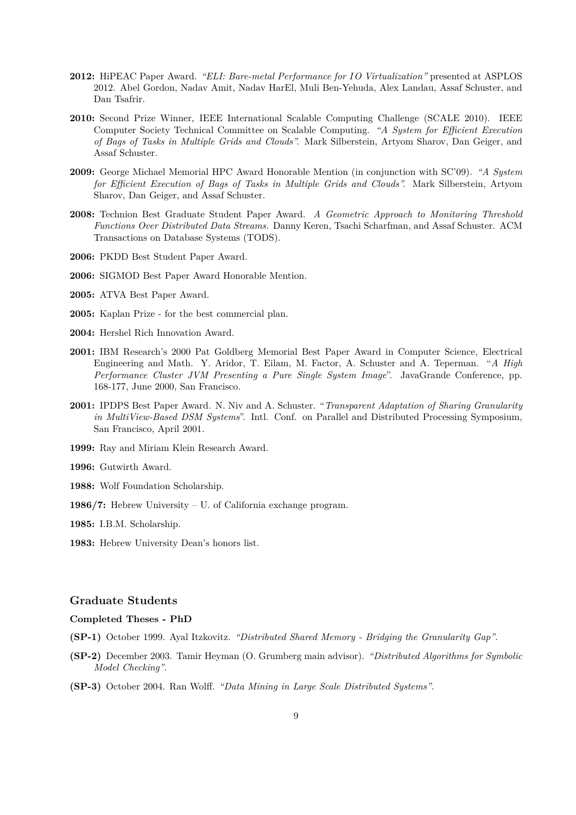- **2012:** HiPEAC Paper Award. *"ELI: Bare-metal Performance for IO Virtualization"* presented at ASPLOS 2012. Abel Gordon, Nadav Amit, Nadav HarEl, Muli Ben-Yehuda, Alex Landau, Assaf Schuster, and Dan Tsafrir.
- **2010:** Second Prize Winner, IEEE International Scalable Computing Challenge (SCALE 2010). IEEE Computer Society Technical Committee on Scalable Computing. *"A System for Efficient Execution of Bags of Tasks in Multiple Grids and Clouds".* Mark Silberstein, Artyom Sharov, Dan Geiger, and Assaf Schuster.
- **2009:** George Michael Memorial HPC Award Honorable Mention (in conjunction with SC'09). *"A System for Efficient Execution of Bags of Tasks in Multiple Grids and Clouds".* Mark Silberstein, Artyom Sharov, Dan Geiger, and Assaf Schuster.
- **2008:** Technion Best Graduate Student Paper Award. *A Geometric Approach to Monitoring Threshold Functions Over Distributed Data Streams.* Danny Keren, Tsachi Scharfman, and Assaf Schuster. ACM Transactions on Database Systems (TODS).
- **2006:** PKDD Best Student Paper Award.
- **2006:** SIGMOD Best Paper Award Honorable Mention.
- **2005:** ATVA Best Paper Award.
- **2005:** Kaplan Prize for the best commercial plan.
- **2004:** Hershel Rich Innovation Award.
- **2001:** IBM Research's 2000 Pat Goldberg Memorial Best Paper Award in Computer Science, Electrical Engineering and Math. Y. Aridor, T. Eilam, M. Factor, A. Schuster and A. Teperman. "*A High Performance Cluster JVM Presenting a Pure Single System Image*". JavaGrande Conference, pp. 168-177, June 2000, San Francisco.
- **2001:** IPDPS Best Paper Award. N. Niv and A. Schuster. "*Transparent Adaptation of Sharing Granularity in MultiView-Based DSM Systems*". Intl. Conf. on Parallel and Distributed Processing Symposium, San Francisco, April 2001.
- **1999:** Ray and Miriam Klein Research Award.
- **1996:** Gutwirth Award.
- **1988:** Wolf Foundation Scholarship.
- **1986/7:** Hebrew University U. of California exchange program.
- **1985:** I.B.M. Scholarship.
- **1983:** Hebrew University Dean's honors list.

# **Graduate Students**

# **Completed Theses - PhD**

- **(SP-1)** October 1999. Ayal Itzkovitz. *"Distributed Shared Memory Bridging the Granularity Gap"*.
- **(SP-2)** December 2003. Tamir Heyman (O. Grumberg main advisor). *"Distributed Algorithms for Symbolic Model Checking"*.
- **(SP-3)** October 2004. Ran Wolff. *"Data Mining in Large Scale Distributed Systems"*.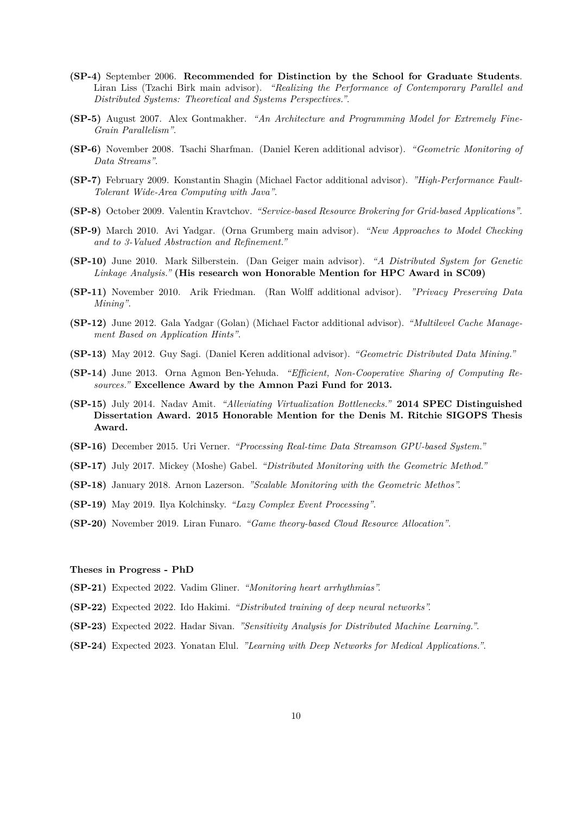- **(SP-4)** September 2006. **Recommended for Distinction by the School for Graduate Students**. Liran Liss (Tzachi Birk main advisor). *"Realizing the Performance of Contemporary Parallel and Distributed Systems: Theoretical and Systems Perspectives."*.
- **(SP-5)** August 2007. Alex Gontmakher. *"An Architecture and Programming Model for Extremely Fine-Grain Parallelism"*.
- **(SP-6)** November 2008. Tsachi Sharfman. (Daniel Keren additional advisor). *"Geometric Monitoring of Data Streams"*.
- **(SP-7)** February 2009. Konstantin Shagin (Michael Factor additional advisor). *"High-Performance Fault-Tolerant Wide-Area Computing with Java"*.
- **(SP-8)** October 2009. Valentin Kravtchov. *"Service-based Resource Brokering for Grid-based Applications"*.
- **(SP-9)** March 2010. Avi Yadgar. (Orna Grumberg main advisor). *"New Approaches to Model Checking and to 3-Valued Abstraction and Refinement."*
- **(SP-10)** June 2010. Mark Silberstein. (Dan Geiger main advisor). *"A Distributed System for Genetic Linkage Analysis."* **(His research won Honorable Mention for HPC Award in SC09)**
- **(SP-11)** November 2010. Arik Friedman. (Ran Wolff additional advisor). *"Privacy Preserving Data Mining"*.
- **(SP-12)** June 2012. Gala Yadgar (Golan) (Michael Factor additional advisor). *"Multilevel Cache Management Based on Application Hints"*.
- **(SP-13)** May 2012. Guy Sagi. (Daniel Keren additional advisor). *"Geometric Distributed Data Mining."*
- **(SP-14)** June 2013. Orna Agmon Ben-Yehuda. *"Efficient, Non-Cooperative Sharing of Computing Resources."* **Excellence Award by the Amnon Pazi Fund for 2013.**
- **(SP-15)** July 2014. Nadav Amit. *"Alleviating Virtualization Bottlenecks."* **2014 SPEC Distinguished Dissertation Award. 2015 Honorable Mention for the Denis M. Ritchie SIGOPS Thesis Award.**
- **(SP-16)** December 2015. Uri Verner. *"Processing Real-time Data Streamson GPU-based System."*
- **(SP-17)** July 2017. Mickey (Moshe) Gabel. *"Distributed Monitoring with the Geometric Method."*
- **(SP-18)** January 2018. Arnon Lazerson. *"Scalable Monitoring with the Geometric Methos".*
- **(SP-19)** May 2019. Ilya Kolchinsky. *"Lazy Complex Event Processing"*.
- **(SP-20)** November 2019. Liran Funaro. *"Game theory-based Cloud Resource Allocation"*.

#### **Theses in Progress - PhD**

- **(SP-21)** Expected 2022. Vadim Gliner. *"Monitoring heart arrhythmias".*
- **(SP-22)** Expected 2022. Ido Hakimi. *"Distributed training of deep neural networks".*
- **(SP-23)** Expected 2022. Hadar Sivan. *"Sensitivity Analysis for Distributed Machine Learning."*.
- **(SP-24)** Expected 2023. Yonatan Elul. *"Learning with Deep Networks for Medical Applications."*.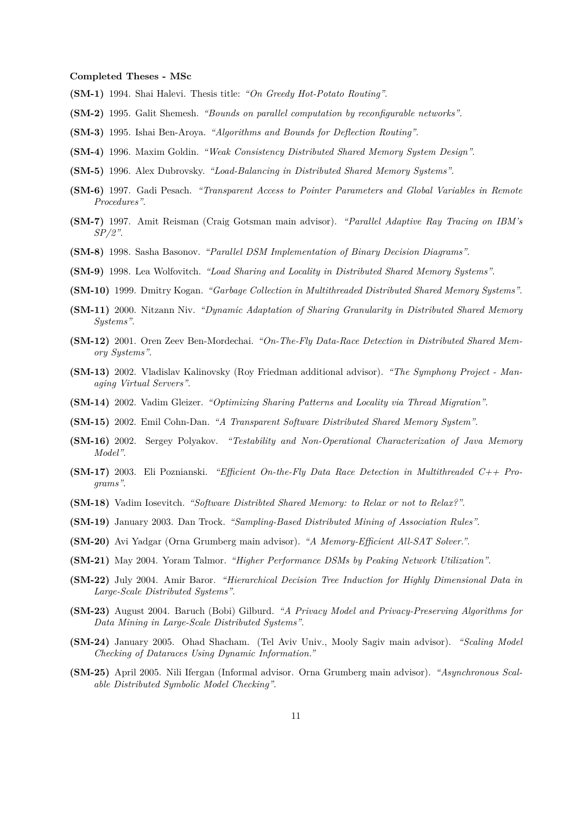#### **Completed Theses - MSc**

- **(SM-1)** 1994. Shai Halevi. Thesis title: *"On Greedy Hot-Potato Routing"*.
- **(SM-2)** 1995. Galit Shemesh. *"Bounds on parallel computation by reconfigurable networks"*.
- **(SM-3)** 1995. Ishai Ben-Aroya. *"Algorithms and Bounds for Deflection Routing"*.
- **(SM-4)** 1996. Maxim Goldin. *"Weak Consistency Distributed Shared Memory System Design"*.
- **(SM-5)** 1996. Alex Dubrovsky. *"Load-Balancing in Distributed Shared Memory Systems"*.
- **(SM-6)** 1997. Gadi Pesach. *"Transparent Access to Pointer Parameters and Global Variables in Remote Procedures"*.
- **(SM-7)** 1997. Amit Reisman (Craig Gotsman main advisor). *"Parallel Adaptive Ray Tracing on IBM's SP/2"*.
- **(SM-8)** 1998. Sasha Basonov. *"Parallel DSM Implementation of Binary Decision Diagrams"*.
- **(SM-9)** 1998. Lea Wolfovitch. *"Load Sharing and Locality in Distributed Shared Memory Systems"*.
- **(SM-10)** 1999. Dmitry Kogan. *"Garbage Collection in Multithreaded Distributed Shared Memory Systems"*.
- **(SM-11)** 2000. Nitzann Niv. *"Dynamic Adaptation of Sharing Granularity in Distributed Shared Memory Systems"*.
- **(SM-12)** 2001. Oren Zeev Ben-Mordechai. *"On-The-Fly Data-Race Detection in Distributed Shared Memory Systems"*.
- **(SM-13)** 2002. Vladislav Kalinovsky (Roy Friedman additional advisor). *"The Symphony Project Managing Virtual Servers"*.
- **(SM-14)** 2002. Vadim Gleizer. *"Optimizing Sharing Patterns and Locality via Thread Migration"*.
- **(SM-15)** 2002. Emil Cohn-Dan. *"A Transparent Software Distributed Shared Memory System"*.
- **(SM-16)** 2002. Sergey Polyakov. *"Testability and Non-Operational Characterization of Java Memory Model"*.
- **(SM-17)** 2003. Eli Poznianski. *"Efficient On-the-Fly Data Race Detection in Multithreaded C++ Programs"*.
- **(SM-18)** Vadim Iosevitch. *"Software Distribted Shared Memory: to Relax or not to Relax?"*.
- **(SM-19)** January 2003. Dan Trock. *"Sampling-Based Distributed Mining of Association Rules"*.
- **(SM-20)** Avi Yadgar (Orna Grumberg main advisor). *"A Memory-Efficient All-SAT Solver."*.
- **(SM-21)** May 2004. Yoram Talmor. *"Higher Performance DSMs by Peaking Network Utilization"*.
- **(SM-22)** July 2004. Amir Baror. *"Hierarchical Decision Tree Induction for Highly Dimensional Data in Large-Scale Distributed Systems"*.
- **(SM-23)** August 2004. Baruch (Bobi) Gilburd. *"A Privacy Model and Privacy-Preserving Algorithms for Data Mining in Large-Scale Distributed Systems"*.
- **(SM-24)** January 2005. Ohad Shacham. (Tel Aviv Univ., Mooly Sagiv main advisor). *"Scaling Model Checking of Dataraces Using Dynamic Information."*
- **(SM-25)** April 2005. Nili Ifergan (Informal advisor. Orna Grumberg main advisor). *"Asynchronous Scalable Distributed Symbolic Model Checking"*.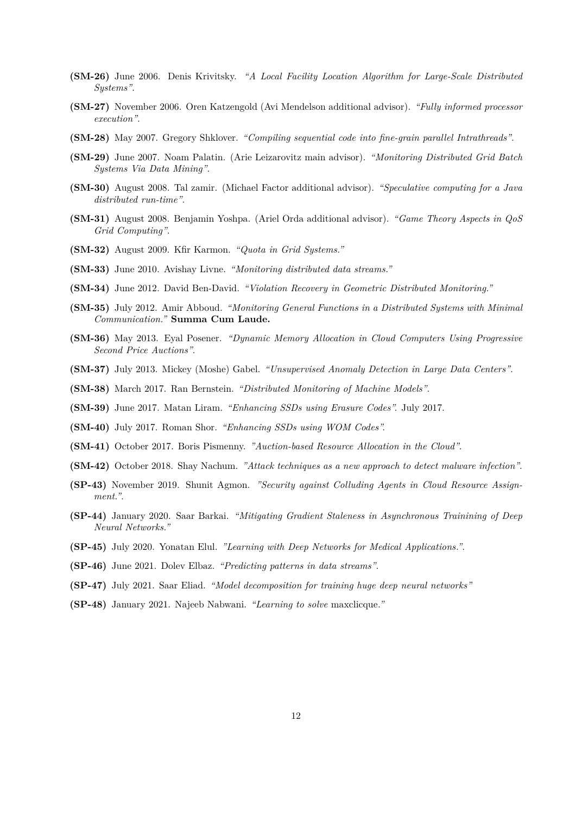- **(SM-26)** June 2006. Denis Krivitsky. *"A Local Facility Location Algorithm for Large-Scale Distributed Systems"*.
- **(SM-27)** November 2006. Oren Katzengold (Avi Mendelson additional advisor). *"Fully informed processor execution"*.
- **(SM-28)** May 2007. Gregory Shklover. *"Compiling sequential code into fine-grain parallel Intrathreads"*.
- **(SM-29)** June 2007. Noam Palatin. (Arie Leizarovitz main advisor). *"Monitoring Distributed Grid Batch Systems Via Data Mining"*.
- **(SM-30)** August 2008. Tal zamir. (Michael Factor additional advisor). *"Speculative computing for a Java distributed run-time"*.
- **(SM-31)** August 2008. Benjamin Yoshpa. (Ariel Orda additional advisor). *"Game Theory Aspects in QoS Grid Computing"*.
- **(SM-32)** August 2009. Kfir Karmon. *"Quota in Grid Systems."*
- **(SM-33)** June 2010. Avishay Livne. *"Monitoring distributed data streams."*
- **(SM-34)** June 2012. David Ben-David. *"Violation Recovery in Geometric Distributed Monitoring."*
- **(SM-35)** July 2012. Amir Abboud. *"Monitoring General Functions in a Distributed Systems with Minimal Communication."* **Summa Cum Laude.**
- **(SM-36)** May 2013. Eyal Posener. *"Dynamic Memory Allocation in Cloud Computers Using Progressive Second Price Auctions"*.
- **(SM-37)** July 2013. Mickey (Moshe) Gabel. *"Unsupervised Anomaly Detection in Large Data Centers"*.
- **(SM-38)** March 2017. Ran Bernstein. *"Distributed Monitoring of Machine Models"*.
- **(SM-39)** June 2017. Matan Liram. *"Enhancing SSDs using Erasure Codes".* July 2017.
- **(SM-40)** July 2017. Roman Shor. *"Enhancing SSDs using WOM Codes".*
- **(SM-41)** October 2017. Boris Pismenny. *"Auction-based Resource Allocation in the Cloud"*.
- **(SM-42)** October 2018. Shay Nachum. *"Attack techniques as a new approach to detect malware infection"*.
- **(SP-43)** November 2019. Shunit Agmon. *"Security against Colluding Agents in Cloud Resource Assignment."*.
- **(SP-44)** January 2020. Saar Barkai. *"Mitigating Gradient Staleness in Asynchronous Trainining of Deep Neural Networks."*
- **(SP-45)** July 2020. Yonatan Elul. *"Learning with Deep Networks for Medical Applications."*.
- **(SP-46)** June 2021. Dolev Elbaz. *"Predicting patterns in data streams"*.
- **(SP-47)** July 2021. Saar Eliad. *"Model decomposition for training huge deep neural networks"*
- **(SP-48)** January 2021. Najeeb Nabwani. *"Learning to solve* maxclicque*."*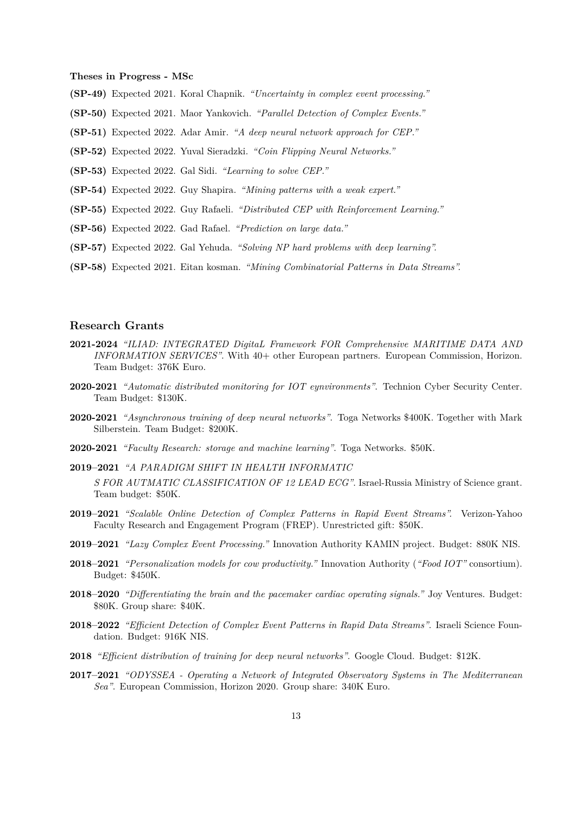**Theses in Progress - MSc**

- **(SP-49)** Expected 2021. Koral Chapnik. *"Uncertainty in complex event processing."*
- **(SP-50)** Expected 2021. Maor Yankovich. *"Parallel Detection of Complex Events."*
- **(SP-51)** Expected 2022. Adar Amir. *"A deep neural network approach for CEP."*
- **(SP-52)** Expected 2022. Yuval Sieradzki. *"Coin Flipping Neural Networks."*
- **(SP-53)** Expected 2022. Gal Sidi. *"Learning to solve CEP."*
- **(SP-54)** Expected 2022. Guy Shapira. *"Mining patterns with a weak expert."*
- **(SP-55)** Expected 2022. Guy Rafaeli. *"Distributed CEP with Reinforcement Learning."*
- **(SP-56)** Expected 2022. Gad Rafael. *"Prediction on large data."*
- **(SP-57)** Expected 2022. Gal Yehuda. *"Solving NP hard problems with deep learning".*
- **(SP-58)** Expected 2021. Eitan kosman. *"Mining Combinatorial Patterns in Data Streams".*

## **Research Grants**

- **2021-2024** *"ILIAD: INTEGRATED DigitaL Framework FOR Comprehensive MARITIME DATA AND INFORMATION SERVICES"*. With  $40+$  other European partners. European Commission, Horizon. Team Budget: 376K Euro.
- **2020-2021** *"Automatic distributed monitoring for IOT eynvironments"*. Technion Cyber Security Center. Team Budget: \$130K.
- **2020-2021** *"Asynchronous training of deep neural networks"*. Toga Networks \$400K. Together with Mark Silberstein. Team Budget: \$200K.
- **2020-2021** *"Faculty Research: storage and machine learning"*. Toga Networks. \$50K.
- **2019–2021** *"A PARADIGM SHIFT IN HEALTH INFORMATIC*

*S FOR AUTMATIC CLASSIFICATION OF 12 LEAD ECG"*. Israel-Russia Ministry of Science grant. Team budget: \$50K.

- **2019–2021** *"Scalable Online Detection of Complex Patterns in Rapid Event Streams".* Verizon-Yahoo Faculty Research and Engagement Program (FREP). Unrestricted gift: \$50K.
- **2019–2021** *"Lazy Complex Event Processing."* Innovation Authority KAMIN project. Budget: 880K NIS.
- **2018–2021** *"Personalization models for cow productivity."* Innovation Authority (*"Food IOT"* consortium). Budget: \$450K.
- **2018–2020** *"Differentiating the brain and the pacemaker cardiac operating signals."* Joy Ventures. Budget: \$80K. Group share: \$40K.
- **2018–2022** *"Efficient Detection of Complex Event Patterns in Rapid Data Streams"*. Israeli Science Foundation. Budget: 916K NIS.
- **2018** *"Efficient distribution of training for deep neural networks"*. Google Cloud. Budget: \$12K.
- **2017–2021** *"ODYSSEA Operating a Network of Integrated Observatory Systems in The Mediterranean Sea"*. European Commission, Horizon 2020. Group share: 340K Euro.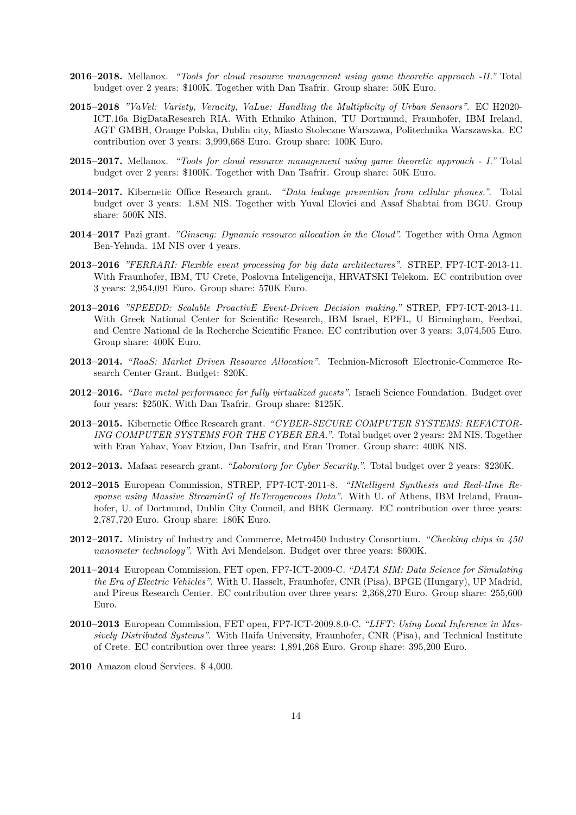- **2016–2018.** Mellanox. *"Tools for cloud resource management using game theoretic approach -II."* Total budget over 2 years: \$100K. Together with Dan Tsafrir. Group share: 50K Euro.
- **2015–2018** *"VaVel: Variety, Veracity, VaLue: Handling the Multiplicity of Urban Sensors"*. EC H2020- ICT.16a BigDataResearch RIA. With Ethniko Athinon, TU Dortmund, Fraunhofer, IBM Ireland, AGT GMBH, Orange Polska, Dublin city, Miasto Stoleczne Warszawa, Politechnika Warszawska. EC contribution over 3 years: 3,999,668 Euro. Group share: 100K Euro.
- **2015–2017.** Mellanox. *"Tools for cloud resource management using game theoretic approach I."* Total budget over 2 years: \$100K. Together with Dan Tsafrir. Group share: 50K Euro.
- **2014–2017.** Kibernetic Office Research grant. *"Data leakage prevention from cellular phones."*. Total budget over 3 years: 1.8M NIS. Together with Yuval Elovici and Assaf Shabtai from BGU. Group share: 500K NIS.
- **2014–2017** Pazi grant. *"Ginseng: Dynamic resource allocation in the Cloud".* Together with Orna Agmon Ben-Yehuda. 1M NIS over 4 years.
- **2013–2016** *"FERRARI: Flexible event processing for big data architectures"*. STREP, FP7-ICT-2013-11. With Fraunhofer, IBM, TU Crete, Poslovna Inteligencija, HRVATSKI Telekom. EC contribution over 3 years: 2,954,091 Euro. Group share: 570K Euro.
- **2013–2016** *"SPEEDD: Scalable ProactivE Event-Driven Decision making."* STREP, FP7-ICT-2013-11. With Greek National Center for Scientific Research, IBM Israel, EPFL, U Birmingham, Feedzai, and Centre National de la Recherche Scientific France. EC contribution over 3 years: 3,074,505 Euro. Group share: 400K Euro.
- **2013–2014.** *"RaaS: Market Driven Resource Allocation"*. Technion-Microsoft Electronic-Commerce Research Center Grant. Budget: \$20K.
- **2012–2016.** *"Bare metal performance for fully virtualized guests"*. Israeli Science Foundation. Budget over four years: \$250K. With Dan Tsafrir. Group share: \$125K.
- **2013–2015.** Kibernetic Office Research grant. *"CYBER-SECURE COMPUTER SYSTEMS: REFACTOR-ING COMPUTER SYSTEMS FOR THE CYBER ERA."*. Total budget over 2 years: 2M NIS. Together with Eran Yahav, Yoav Etzion, Dan Tsafrir, and Eran Tromer. Group share: 400K NIS.
- **2012–2013.** Mafaat research grant. *"Laboratory for Cyber Security."*. Total budget over 2 years: \$230K.
- **2012–2015** European Commission, STREP, FP7-ICT-2011-8. *"INtelligent Synthesis and Real-tIme Response using Massive StreaminG of HeTerogeneous Data"*. With U. of Athens, IBM Ireland, Fraunhofer, U. of Dortmund, Dublin City Council, and BBK Germany. EC contribution over three years: 2,787,720 Euro. Group share: 180K Euro.
- **2012–2017.** Ministry of Industry and Commerce, Metro450 Industry Consortium. *"Checking chips in 450 nanometer technology"*. With Avi Mendelson. Budget over three years: \$600K.
- **2011–2014** European Commission, FET open, FP7-ICT-2009-C. *"DATA SIM: Data Science for Simulating the Era of Electric Vehicles"*. With U. Hasselt, Fraunhofer, CNR (Pisa), BPGE (Hungary), UP Madrid, and Pireus Research Center. EC contribution over three years: 2,368,270 Euro. Group share: 255,600 Euro.
- **2010–2013** European Commission, FET open, FP7-ICT-2009.8.0-C. *"LIFT: Using Local Inference in Massively Distributed Systems"*. With Haifa University, Fraunhofer, CNR (Pisa), and Technical Institute of Crete. EC contribution over three years: 1,891,268 Euro. Group share: 395,200 Euro.

**2010** Amazon cloud Services. \$ 4,000.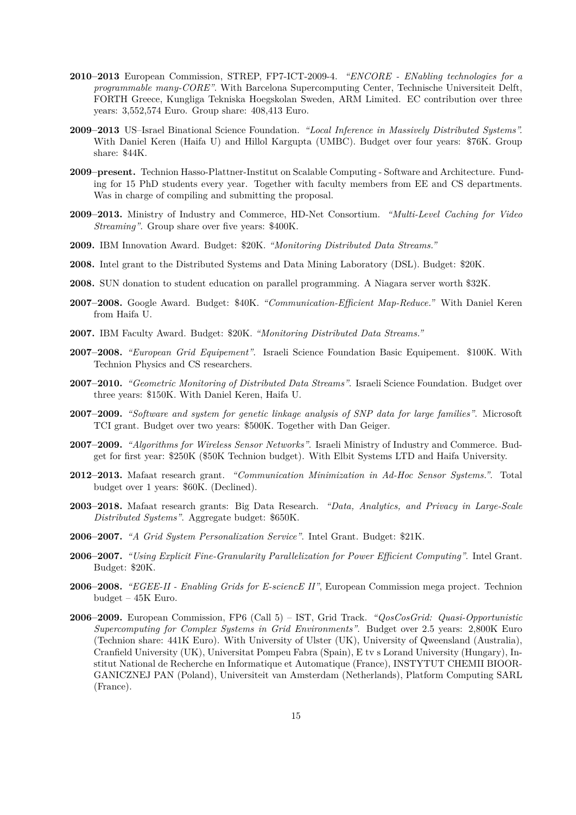- **2010–2013** European Commission, STREP, FP7-ICT-2009-4. *"ENCORE ENabling technologies for a programmable many-CORE"*. With Barcelona Supercomputing Center, Technische Universiteit Delft, FORTH Greece, Kungliga Tekniska Hoegskolan Sweden, ARM Limited. EC contribution over three years: 3,552,574 Euro. Group share: 408,413 Euro.
- **2009–2013** US–Israel Binational Science Foundation. *"Local Inference in Massively Distributed Systems".* With Daniel Keren (Haifa U) and Hillol Kargupta (UMBC). Budget over four years: \$76K. Group share: \$44K.
- **2009–present.** Technion Hasso-Plattner-Institut on Scalable Computing Software and Architecture. Funding for 15 PhD students every year. Together with faculty members from EE and CS departments. Was in charge of compiling and submitting the proposal.
- **2009–2013.** Ministry of Industry and Commerce, HD-Net Consortium. *"Multi-Level Caching for Video Streaming"*. Group share over five years: \$400K.
- **2009.** IBM Innovation Award. Budget: \$20K. *"Monitoring Distributed Data Streams."*
- **2008.** Intel grant to the Distributed Systems and Data Mining Laboratory (DSL). Budget: \$20K.
- **2008.** SUN donation to student education on parallel programming. A Niagara server worth \$32K.
- **2007–2008.** Google Award. Budget: \$40K. *"Communication-Efficient Map-Reduce."* With Daniel Keren from Haifa U.
- **2007.** IBM Faculty Award. Budget: \$20K. *"Monitoring Distributed Data Streams."*
- **2007–2008.** *"European Grid Equipement"*. Israeli Science Foundation Basic Equipement. \$100K. With Technion Physics and CS researchers.
- **2007–2010.** *"Geometric Monitoring of Distributed Data Streams"*. Israeli Science Foundation. Budget over three years: \$150K. With Daniel Keren, Haifa U.
- **2007–2009.** *"Software and system for genetic linkage analysis of SNP data for large families"*. Microsoft TCI grant. Budget over two years: \$500K. Together with Dan Geiger.
- **2007–2009.** *"Algorithms for Wireless Sensor Networks"*. Israeli Ministry of Industry and Commerce. Budget for first year: \$250K (\$50K Technion budget). With Elbit Systems LTD and Haifa University.
- **2012–2013.** Mafaat research grant. *"Communication Minimization in Ad-Hoc Sensor Systems."*. Total budget over 1 years: \$60K. (Declined).
- **2003–2018.** Mafaat research grants: Big Data Research. *"Data, Analytics, and Privacy in Large-Scale Distributed Systems"*. Aggregate budget: \$650K.
- **2006–2007.** *"A Grid System Personalization Service"*. Intel Grant. Budget: \$21K.
- **2006–2007.** *"Using Explicit Fine-Granularity Parallelization for Power Efficient Computing"*. Intel Grant. Budget: \$20K.
- **2006–2008.** *"EGEE-II Enabling Grids for E-sciencE II"*, European Commission mega project. Technion budget – 45K Euro.
- **2006–2009.** European Commission, FP6 (Call 5) IST, Grid Track. *"QosCosGrid: Quasi-Opportunistic Supercomputing for Complex Systems in Grid Environments"*. Budget over 2.5 years: 2,800K Euro (Technion share: 441K Euro). With University of Ulster (UK), University of Qweensland (Australia), Cranfield University (UK), Universitat Pompeu Fabra (Spain), E tv s Lorand University (Hungary), Institut National de Recherche en Informatique et Automatique (France), INSTYTUT CHEMII BIOOR-GANICZNEJ PAN (Poland), Universiteit van Amsterdam (Netherlands), Platform Computing SARL (France).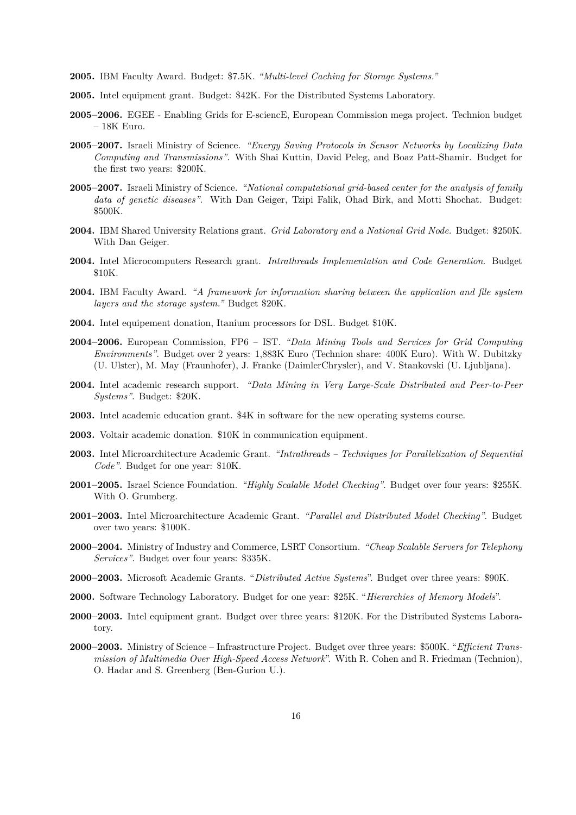- **2005.** IBM Faculty Award. Budget: \$7.5K. *"Multi-level Caching for Storage Systems."*
- **2005.** Intel equipment grant. Budget: \$42K. For the Distributed Systems Laboratory.
- **2005–2006.** EGEE Enabling Grids for E-sciencE, European Commission mega project. Technion budget – 18K Euro.
- **2005–2007.** Israeli Ministry of Science. *"Energy Saving Protocols in Sensor Networks by Localizing Data Computing and Transmissions"*. With Shai Kuttin, David Peleg, and Boaz Patt-Shamir. Budget for the first two years: \$200K.
- **2005–2007.** Israeli Ministry of Science. *"National computational grid-based center for the analysis of family data of genetic diseases"*. With Dan Geiger, Tzipi Falik, Ohad Birk, and Motti Shochat. Budget: \$500K.
- **2004.** IBM Shared University Relations grant. *Grid Laboratory and a National Grid Node.* Budget: \$250K. With Dan Geiger.
- **2004.** Intel Microcomputers Research grant. *Intrathreads Implementation and Code Generation*. Budget \$10K.
- **2004.** IBM Faculty Award. *"A framework for information sharing between the application and file system layers and the storage system."* Budget \$20K.
- **2004.** Intel equipement donation, Itanium processors for DSL. Budget \$10K.
- **2004–2006.** European Commission, FP6 IST. *"Data Mining Tools and Services for Grid Computing Environments"*. Budget over 2 years: 1,883K Euro (Technion share: 400K Euro). With W. Dubitzky (U. Ulster), M. May (Fraunhofer), J. Franke (DaimlerChrysler), and V. Stankovski (U. Ljubljana).
- **2004.** Intel academic research support. *"Data Mining in Very Large-Scale Distributed and Peer-to-Peer Systems"*. Budget: \$20K.
- **2003.** Intel academic education grant. \$4K in software for the new operating systems course.
- **2003.** Voltair academic donation. \$10K in communication equipment.
- **2003.** Intel Microarchitecture Academic Grant. *"Intrathreads Techniques for Parallelization of Sequential Code"*. Budget for one year: \$10K.
- **2001–2005.** Israel Science Foundation. *"Highly Scalable Model Checking"*. Budget over four years: \$255K. With O. Grumberg.
- **2001–2003.** Intel Microarchitecture Academic Grant. *"Parallel and Distributed Model Checking"*. Budget over two years: \$100K.
- **2000–2004.** Ministry of Industry and Commerce, LSRT Consortium. *"Cheap Scalable Servers for Telephony Services"*. Budget over four years: \$335K.
- **2000–2003.** Microsoft Academic Grants. "*Distributed Active Systems*". Budget over three years: \$90K.
- **2000.** Software Technology Laboratory. Budget for one year: \$25K. "*Hierarchies of Memory Models*".
- **2000–2003.** Intel equipment grant. Budget over three years: \$120K. For the Distributed Systems Laboratory.
- **2000–2003.** Ministry of Science Infrastructure Project. Budget over three years: \$500K. "*Efficient Transmission of Multimedia Over High-Speed Access Network*". With R. Cohen and R. Friedman (Technion), O. Hadar and S. Greenberg (Ben-Gurion U.).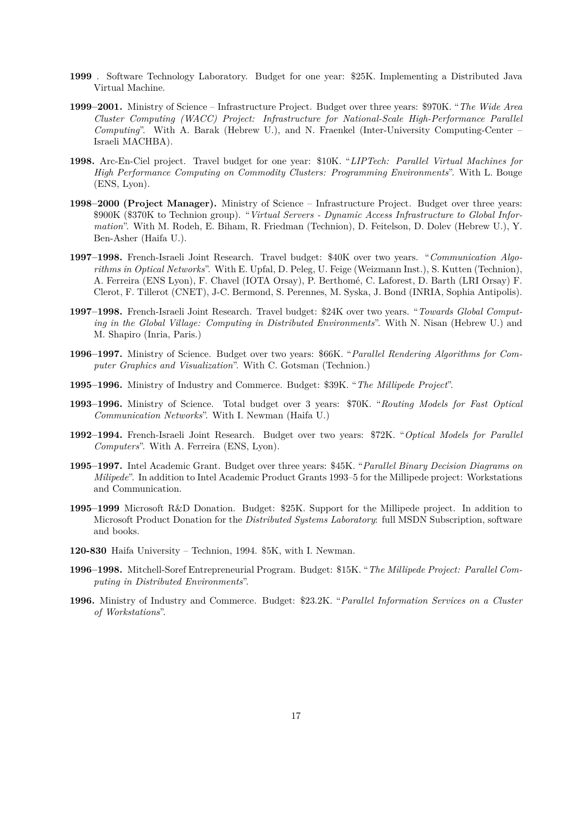- **1999** . Software Technology Laboratory. Budget for one year: \$25K. Implementing a Distributed Java Virtual Machine.
- **1999–2001.** Ministry of Science Infrastructure Project. Budget over three years: \$970K. "*The Wide Area Cluster Computing (WACC) Project: Infrastructure for National-Scale High-Performance Parallel Computing*". With A. Barak (Hebrew U.), and N. Fraenkel (Inter-University Computing-Center – Israeli MACHBA).
- **1998.** Arc-En-Ciel project. Travel budget for one year: \$10K. "*LIPTech: Parallel Virtual Machines for High Performance Computing on Commodity Clusters: Programming Environments*". With L. Bouge (ENS, Lyon).
- **1998–2000 (Project Manager).** Ministry of Science Infrastructure Project. Budget over three years: \$900K (\$370K to Technion group). "*Virtual Servers - Dynamic Access Infrastructure to Global Information*". With M. Rodeh, E. Biham, R. Friedman (Technion), D. Feitelson, D. Dolev (Hebrew U.), Y. Ben-Asher (Haifa U.).
- **1997–1998.** French-Israeli Joint Research. Travel budget: \$40K over two years. "*Communication Algorithms in Optical Networks*". With E. Upfal, D. Peleg, U. Feige (Weizmann Inst.), S. Kutten (Technion), A. Ferreira (ENS Lyon), F. Chavel (IOTA Orsay), P. Berthomé, C. Laforest, D. Barth (LRI Orsay) F. Clerot, F. Tillerot (CNET), J-C. Bermond, S. Perennes, M. Syska, J. Bond (INRIA, Sophia Antipolis).
- **1997–1998.** French-Israeli Joint Research. Travel budget: \$24K over two years. "*Towards Global Computing in the Global Village: Computing in Distributed Environments*". With N. Nisan (Hebrew U.) and M. Shapiro (Inria, Paris.)
- **1996–1997.** Ministry of Science. Budget over two years: \$66K. "*Parallel Rendering Algorithms for Computer Graphics and Visualization*". With C. Gotsman (Technion.)
- **1995–1996.** Ministry of Industry and Commerce. Budget: \$39K. "*The Millipede Project*".
- **1993–1996.** Ministry of Science. Total budget over 3 years: \$70K. "*Routing Models for Fast Optical Communication Networks*". With I. Newman (Haifa U.)
- **1992–1994.** French-Israeli Joint Research. Budget over two years: \$72K. "*Optical Models for Parallel Computers*". With A. Ferreira (ENS, Lyon).
- **1995–1997.** Intel Academic Grant. Budget over three years: \$45K. "*Parallel Binary Decision Diagrams on Milipede*". In addition to Intel Academic Product Grants 1993–5 for the Millipede project: Workstations and Communication.
- **1995–1999** Microsoft R&D Donation. Budget: \$25K. Support for the Millipede project. In addition to Microsoft Product Donation for the *Distributed Systems Laboratory*: full MSDN Subscription, software and books.
- **120-830** Haifa University Technion, 1994. \$5K, with I. Newman.
- **1996–1998.** Mitchell-Soref Entrepreneurial Program. Budget: \$15K. "*The Millipede Project: Parallel Computing in Distributed Environments*".
- **1996.** Ministry of Industry and Commerce. Budget: \$23.2K. "*Parallel Information Services on a Cluster of Workstations*".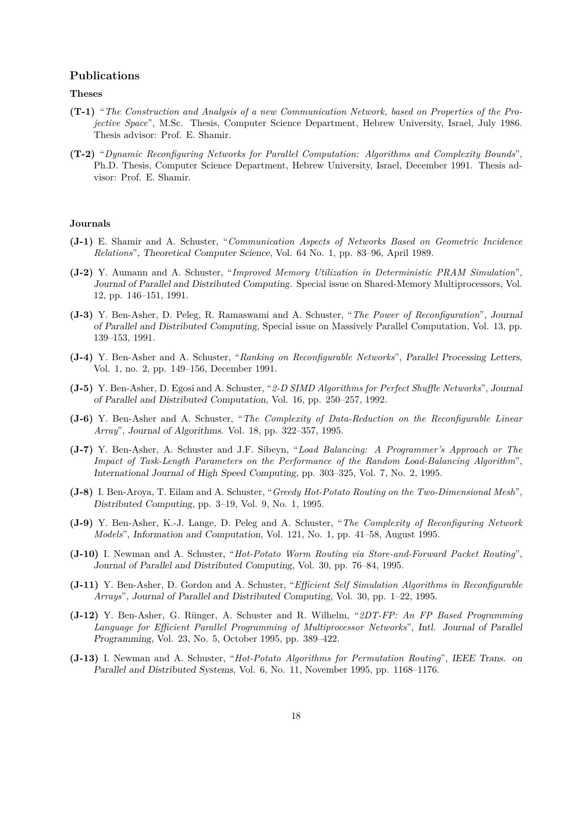## **Publications**

#### **Theses**

- **(T-1)** "*The Construction and Analysis of a new Communication Network, based on Properties of the Projective Space*", M.Sc. Thesis, Computer Science Department, Hebrew University, Israel, July 1986. Thesis advisor: Prof. E. Shamir.
- **(T-2)** "*Dynamic Reconfiguring Networks for Parallel Computation: Algorithms and Complexity Bounds*", Ph.D. Thesis, Computer Science Department, Hebrew University, Israel, December 1991. Thesis advisor: Prof. E. Shamir.

#### **Journals**

- **(J-1)** E. Shamir and A. Schuster, "*Communication Aspects of Networks Based on Geometric Incidence Relations*", *Theoretical Computer Science*, Vol. 64 No. 1, pp. 83–96, April 1989.
- **(J-2)** Y. Aumann and A. Schuster, "*Improved Memory Utilization in Deterministic PRAM Simulation*", *Journal of Parallel and Distributed Computing*. Special issue on Shared-Memory Multiprocessors, Vol. 12, pp. 146–151, 1991.
- **(J-3)** Y. Ben-Asher, D. Peleg, R. Ramaswami and A. Schuster, "*The Power of Reconfiguration*", *Journal of Parallel and Distributed Computing*, Special issue on Massively Parallel Computation, Vol. 13, pp. 139–153, 1991.
- **(J-4)** Y. Ben-Asher and A. Schuster, "*Ranking on Reconfigurable Networks*", *Parallel Processing Letters*, Vol. 1, no. 2, pp. 149–156, December 1991.
- **(J-5)** Y. Ben-Asher, D. Egosi and A. Schuster, "*2-D SIMD Algorithms for Perfect Shuffle Networks*", *Journal of Parallel and Distributed Computation*, Vol. 16, pp. 250–257, 1992.
- **(J-6)** Y. Ben-Asher and A. Schuster, "*The Complexity of Data-Reduction on the Reconfigurable Linear Array*", *Journal of Algorithms*. Vol. 18, pp. 322–357, 1995.
- **(J-7)** Y. Ben-Asher, A. Schuster and J.F. Sibeyn, "*Load Balancing: A Programmer's Approach or The Impact of Task-Length Parameters on the Performance of the Random Load-Balancing Algorithm*", *International Journal of High Speed Computing*, pp. 303–325, Vol. 7, No. 2, 1995.
- **(J-8)** I. Ben-Aroya, T. Eilam and A. Schuster, "*Greedy Hot-Potato Routing on the Two-Dimensional Mesh*", *Distributed Computing*, pp. 3–19, Vol. 9, No. 1, 1995.
- **(J-9)** Y. Ben-Asher, K.-J. Lange, D. Peleg and A. Schuster, "*The Complexity of Reconfiguring Network Models*", *Information and Computation*, Vol. 121, No. 1, pp. 41–58, August 1995.
- **(J-10)** I. Newman and A. Schuster, "*Hot-Potato Worm Routing via Store-and-Forward Packet Routing*", *Journal of Parallel and Distributed Computing*, Vol. 30, pp. 76–84, 1995.
- **(J-11)** Y. Ben-Asher, D. Gordon and A. Schuster, "*Efficient Self Simulation Algorithms in Reconfigurable Arrays*", *Journal of Parallel and Distributed Computing*, Vol. 30, pp. 1–22, 1995.
- **(J-12)** Y. Ben-Asher, G. Rünger, A. Schuster and R. Wilhelm, "*2DT-FP: An FP Based Programming Language for Efficient Parallel Programming of Multiprocessor Networks*", *Intl. Journal of Parallel Programming*, Vol. 23, No. 5, October 1995, pp. 389–422.
- **(J-13)** I. Newman and A. Schuster, "*Hot-Potato Algorithms for Permutation Routing*", *IEEE Trans. on Parallel and Distributed Systems*, Vol. 6, No. 11, November 1995, pp. 1168–1176.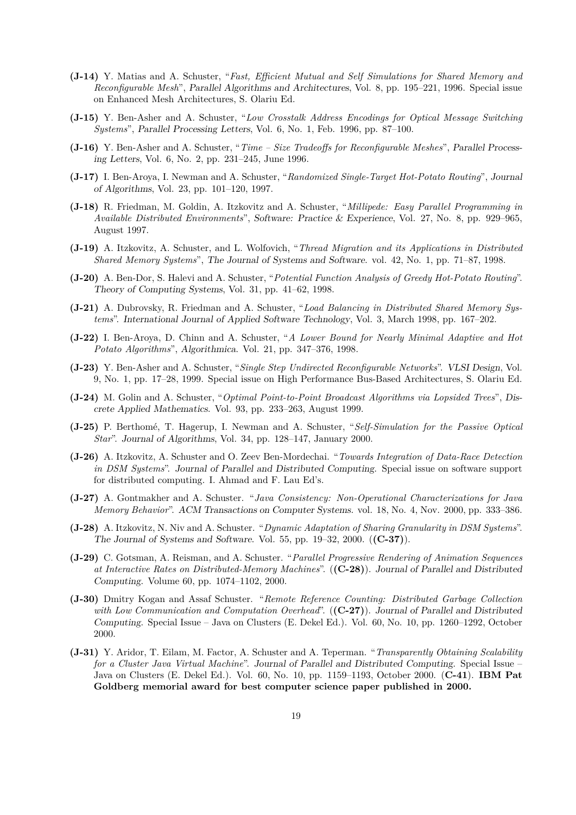- **(J-14)** Y. Matias and A. Schuster, "*Fast, Efficient Mutual and Self Simulations for Shared Memory and Reconfigurable Mesh*", *Parallel Algorithms and Architectures*, Vol. 8, pp. 195–221, 1996. Special issue on Enhanced Mesh Architectures, S. Olariu Ed.
- **(J-15)** Y. Ben-Asher and A. Schuster, "*Low Crosstalk Address Encodings for Optical Message Switching Systems*", *Parallel Processing Letters*, Vol. 6, No. 1, Feb. 1996, pp. 87–100.
- **(J-16)** Y. Ben-Asher and A. Schuster, "*Time Size Tradeoffs for Reconfigurable Meshes*", *Parallel Processing Letters*, Vol. 6, No. 2, pp. 231–245, June 1996.
- **(J-17)** I. Ben-Aroya, I. Newman and A. Schuster, "*Randomized Single-Target Hot-Potato Routing*", *Journal of Algorithms*, Vol. 23, pp. 101–120, 1997.
- **(J-18)** R. Friedman, M. Goldin, A. Itzkovitz and A. Schuster, "*Millipede: Easy Parallel Programming in Available Distributed Environments*", *Software: Practice & Experience*, Vol. 27, No. 8, pp. 929–965, August 1997.
- **(J-19)** A. Itzkovitz, A. Schuster, and L. Wolfovich, "*Thread Migration and its Applications in Distributed Shared Memory Systems*", *The Journal of Systems and Software*. vol. 42, No. 1, pp. 71–87, 1998.
- **(J-20)** A. Ben-Dor, S. Halevi and A. Schuster, "*Potential Function Analysis of Greedy Hot-Potato Routing*". *Theory of Computing Systems*, Vol. 31, pp. 41–62, 1998.
- **(J-21)** A. Dubrovsky, R. Friedman and A. Schuster, "*Load Balancing in Distributed Shared Memory Systems*". *International Journal of Applied Software Technology*, Vol. 3, March 1998, pp. 167–202.
- **(J-22)** I. Ben-Aroya, D. Chinn and A. Schuster, "*A Lower Bound for Nearly Minimal Adaptive and Hot Potato Algorithms*", *Algorithmica*. Vol. 21, pp. 347–376, 1998.
- **(J-23)** Y. Ben-Asher and A. Schuster, "*Single Step Undirected Reconfigurable Networks*". *VLSI Design*, Vol. 9, No. 1, pp. 17–28, 1999. Special issue on High Performance Bus-Based Architectures, S. Olariu Ed.
- **(J-24)** M. Golin and A. Schuster, "*Optimal Point-to-Point Broadcast Algorithms via Lopsided Trees*", *Discrete Applied Mathematics*. Vol. 93, pp. 233–263, August 1999.
- **(J-25)** P. Berthomé, T. Hagerup, I. Newman and A. Schuster, "*Self-Simulation for the Passive Optical Star*". *Journal of Algorithms*, Vol. 34, pp. 128–147, January 2000.
- **(J-26)** A. Itzkovitz, A. Schuster and O. Zeev Ben-Mordechai. "*Towards Integration of Data-Race Detection in DSM Systems*". *Journal of Parallel and Distributed Computing*. Special issue on software support for distributed computing. I. Ahmad and F. Lau Ed's.
- **(J-27)** A. Gontmakher and A. Schuster. "*Java Consistency: Non-Operational Characterizations for Java Memory Behavior*". *ACM Transactions on Computer Systems.* vol. 18, No. 4, Nov. 2000, pp. 333–386.
- **(J-28)** A. Itzkovitz, N. Niv and A. Schuster. "*Dynamic Adaptation of Sharing Granularity in DSM Systems*". *The Journal of Systems and Software*. Vol. 55, pp. 19–32, 2000. (**(C-37)**).
- **(J-29)** C. Gotsman, A. Reisman, and A. Schuster. "*Parallel Progressive Rendering of Animation Sequences at Interactive Rates on Distributed-Memory Machines*". (**(C-28)**). *Journal of Parallel and Distributed Computing*. Volume 60, pp. 1074–1102, 2000.
- **(J-30)** Dmitry Kogan and Assaf Schuster. "*Remote Reference Counting: Distributed Garbage Collection with Low Communication and Computation Overhead*". (**(C-27)**). *Journal of Parallel and Distributed Computing*. Special Issue – Java on Clusters (E. Dekel Ed.). Vol. 60, No. 10, pp. 1260–1292, October 2000.
- **(J-31)** Y. Aridor, T. Eilam, M. Factor, A. Schuster and A. Teperman. "*Transparently Obtaining Scalability for a Cluster Java Virtual Machine*". *Journal of Parallel and Distributed Computing*. Special Issue – Java on Clusters (E. Dekel Ed.). Vol. 60, No. 10, pp. 1159–1193, October 2000. (**C-41**). **IBM Pat Goldberg memorial award for best computer science paper published in 2000.**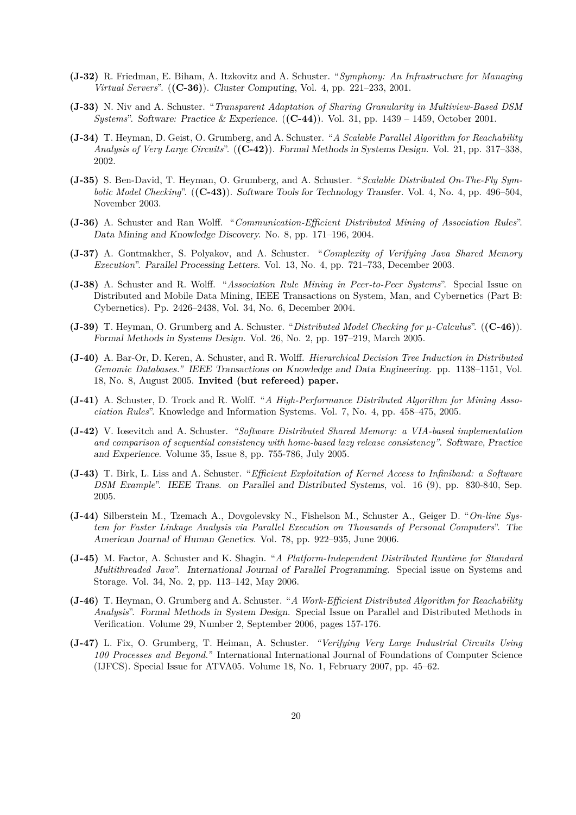- **(J-32)** R. Friedman, E. Biham, A. Itzkovitz and A. Schuster. "*Symphony: An Infrastructure for Managing Virtual Servers*". (**(C-36)**). *Cluster Computing*, Vol. 4, pp. 221–233, 2001.
- **(J-33)** N. Niv and A. Schuster. "*Transparent Adaptation of Sharing Granularity in Multiview-Based DSM Systems*". *Software: Practice & Experience.* (**(C-44)**). Vol. 31, pp. 1439 – 1459, October 2001.
- **(J-34)** T. Heyman, D. Geist, O. Grumberg, and A. Schuster. "*A Scalable Parallel Algorithm for Reachability Analysis of Very Large Circuits*". (**(C-42)**). *Formal Methods in Systems Design.* Vol. 21, pp. 317–338, 2002.
- **(J-35)** S. Ben-David, T. Heyman, O. Grumberg, and A. Schuster. "*Scalable Distributed On-The-Fly Symbolic Model Checking*". (**(C-43)**). *Software Tools for Technology Transfer.* Vol. 4, No. 4, pp. 496–504, November 2003.
- **(J-36)** A. Schuster and Ran Wolff. "*Communication-Efficient Distributed Mining of Association Rules*". *Data Mining and Knowledge Discovery.* No. 8, pp. 171–196, 2004.
- **(J-37)** A. Gontmakher, S. Polyakov, and A. Schuster. "*Complexity of Verifying Java Shared Memory Execution*". *Parallel Processing Letters.* Vol. 13, No. 4, pp. 721–733, December 2003.
- **(J-38)** A. Schuster and R. Wolff. "*Association Rule Mining in Peer-to-Peer Systems*". Special Issue on Distributed and Mobile Data Mining, IEEE Transactions on System, Man, and Cybernetics (Part B: Cybernetics). Pp. 2426–2438, Vol. 34, No. 6, December 2004.
- **(J-39)** T. Heyman, O. Grumberg and A. Schuster. "*Distributed Model Checking for µ-Calculus*". (**(C-46)**). *Formal Methods in Systems Design.* Vol. 26, No. 2, pp. 197–219, March 2005.
- **(J-40)** A. Bar-Or, D. Keren, A. Schuster, and R. Wolff. *Hierarchical Decision Tree Induction in Distributed Genomic Databases." IEEE Transactions on Knowledge and Data Engineering*. pp. 1138–1151, Vol. 18, No. 8, August 2005. **Invited (but refereed) paper.**
- **(J-41)** A. Schuster, D. Trock and R. Wolff. "*A High-Performance Distributed Algorithm for Mining Association Rules*". Knowledge and Information Systems. Vol. 7, No. 4, pp. 458–475, 2005.
- **(J-42)** V. Iosevitch and A. Schuster. *"Software Distributed Shared Memory: a VIA-based implementation and comparison of sequential consistency with home-based lazy release consistency"*. *Software, Practice and Experience.* Volume 35, Issue 8, pp. 755-786, July 2005.
- **(J-43)** T. Birk, L. Liss and A. Schuster. "*Efficient Exploitation of Kernel Access to Infiniband: a Software DSM Example*". *IEEE Trans. on Parallel and Distributed Systems*, vol. 16 (9), pp. 830-840, Sep. 2005.
- **(J-44)** Silberstein M., Tzemach A., Dovgolevsky N., Fishelson M., Schuster A., Geiger D. "*On-line System for Faster Linkage Analysis via Parallel Execution on Thousands of Personal Computers*". *The American Journal of Human Genetics.* Vol. 78, pp. 922–935, June 2006.
- **(J-45)** M. Factor, A. Schuster and K. Shagin. "*A Platform-Independent Distributed Runtime for Standard Multithreaded Java*". *International Journal of Parallel Programming.* Special issue on Systems and Storage. Vol. 34, No. 2, pp. 113–142, May 2006.
- **(J-46)** T. Heyman, O. Grumberg and A. Schuster. "*A Work-Efficient Distributed Algorithm for Reachability Analysis*". *Formal Methods in System Design.* Special Issue on Parallel and Distributed Methods in Verification. Volume 29, Number 2, September 2006, pages 157-176.
- **(J-47)** L. Fix, O. Grumberg, T. Heiman, A. Schuster. *"Verifying Very Large Industrial Circuits Using 100 Processes and Beyond."* International International Journal of Foundations of Computer Science (IJFCS). Special Issue for ATVA05. Volume 18, No. 1, February 2007, pp. 45–62.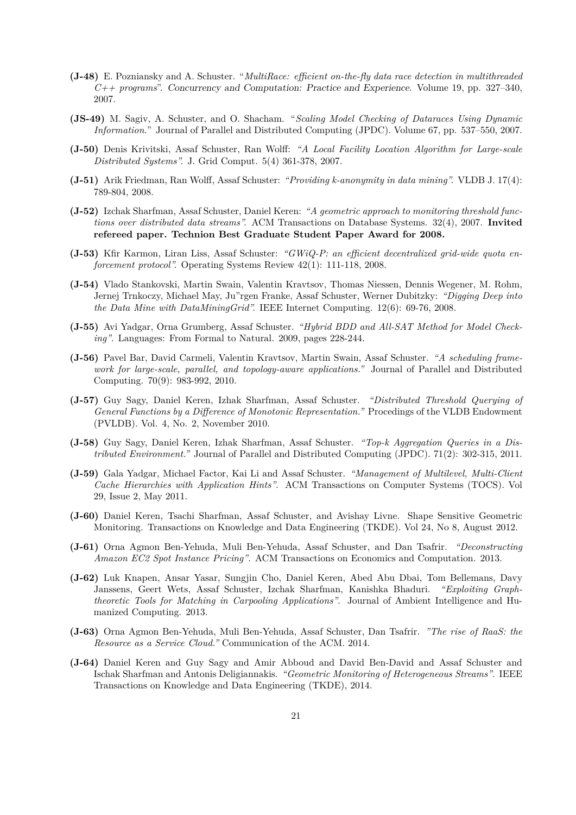- **(J-48)** E. Pozniansky and A. Schuster. "*MultiRace: efficient on-the-fly data race detection in multithreaded C++ programs*". *Concurrency and Computation: Practice and Experience.* Volume 19, pp. 327–340, 2007.
- **(JS-49)** M. Sagiv, A. Schuster, and O. Shacham. "*Scaling Model Checking of Dataraces Using Dynamic Information.*" Journal of Parallel and Distributed Computing (JPDC). Volume 67, pp. 537–550, 2007.
- **(J-50)** Denis Krivitski, Assaf Schuster, Ran Wolff: *"A Local Facility Location Algorithm for Large-scale Distributed Systems".* J. Grid Comput. 5(4) 361-378, 2007.
- **(J-51)** Arik Friedman, Ran Wolff, Assaf Schuster: *"Providing k-anonymity in data mining".* VLDB J. 17(4): 789-804, 2008.
- **(J-52)** Izchak Sharfman, Assaf Schuster, Daniel Keren: *"A geometric approach to monitoring threshold functions over distributed data streams".* ACM Transactions on Database Systems. 32(4), 2007. **Invited refereed paper. Technion Best Graduate Student Paper Award for 2008.**
- **(J-53)** Kfir Karmon, Liran Liss, Assaf Schuster: *"GWiQ-P: an efficient decentralized grid-wide quota enforcement protocol".* Operating Systems Review 42(1): 111-118, 2008.
- **(J-54)** Vlado Stankovski, Martin Swain, Valentin Kravtsov, Thomas Niessen, Dennis Wegener, M. Rohm, Jernej Trnkoczy, Michael May, Ju"rgen Franke, Assaf Schuster, Werner Dubitzky: *"Digging Deep into the Data Mine with DataMiningGrid".* IEEE Internet Computing. 12(6): 69-76, 2008.
- **(J-55)** Avi Yadgar, Orna Grumberg, Assaf Schuster. *"Hybrid BDD and All-SAT Method for Model Checking"*. Languages: From Formal to Natural. 2009, pages 228-244.
- **(J-56)** Pavel Bar, David Carmeli, Valentin Kravtsov, Martin Swain, Assaf Schuster. *"A scheduling framework for large-scale, parallel, and topology-aware applications."* Journal of Parallel and Distributed Computing. 70(9): 983-992, 2010.
- **(J-57)** Guy Sagy, Daniel Keren, Izhak Sharfman, Assaf Schuster. *"Distributed Threshold Querying of General Functions by a Difference of Monotonic Representation."* Procedings of the VLDB Endowment (PVLDB). Vol. 4, No. 2, November 2010.
- **(J-58)** Guy Sagy, Daniel Keren, Izhak Sharfman, Assaf Schuster. *"Top-k Aggregation Queries in a Distributed Environment."* Journal of Parallel and Distributed Computing (JPDC). 71(2): 302-315, 2011.
- **(J-59)** Gala Yadgar, Michael Factor, Kai Li and Assaf Schuster. *"Management of Multilevel, Multi-Client Cache Hierarchies with Application Hints"*. ACM Transactions on Computer Systems (TOCS). Vol 29, Issue 2, May 2011.
- **(J-60)** Daniel Keren, Tsachi Sharfman, Assaf Schuster, and Avishay Livne. Shape Sensitive Geometric Monitoring. Transactions on Knowledge and Data Engineering (TKDE). Vol 24, No 8, August 2012.
- **(J-61)** Orna Agmon Ben-Yehuda, Muli Ben-Yehuda, Assaf Schuster, and Dan Tsafrir. *"Deconstructing Amazon EC2 Spot Instance Pricing"*. ACM Transactions on Economics and Computation. 2013.
- **(J-62)** Luk Knapen, Ansar Yasar, Sungjin Cho, Daniel Keren, Abed Abu Dbai, Tom Bellemans, Davy Janssens, Geert Wets, Assaf Schuster, Izchak Sharfman, Kanishka Bhaduri. *"Exploiting Graphtheoretic Tools for Matching in Carpooling Applications"*. Journal of Ambient Intelligence and Humanized Computing. 2013.
- **(J-63)** Orna Agmon Ben-Yehuda, Muli Ben-Yehuda, Assaf Schuster, Dan Tsafrir. *"The rise of RaaS: the Resource as a Service Cloud."* Communication of the ACM. 2014.
- **(J-64)** Daniel Keren and Guy Sagy and Amir Abboud and David Ben-David and Assaf Schuster and Ischak Sharfman and Antonis Deligiannakis. *"Geometric Monitoring of Heterogeneous Streams"*. IEEE Transactions on Knowledge and Data Engineering (TKDE), 2014.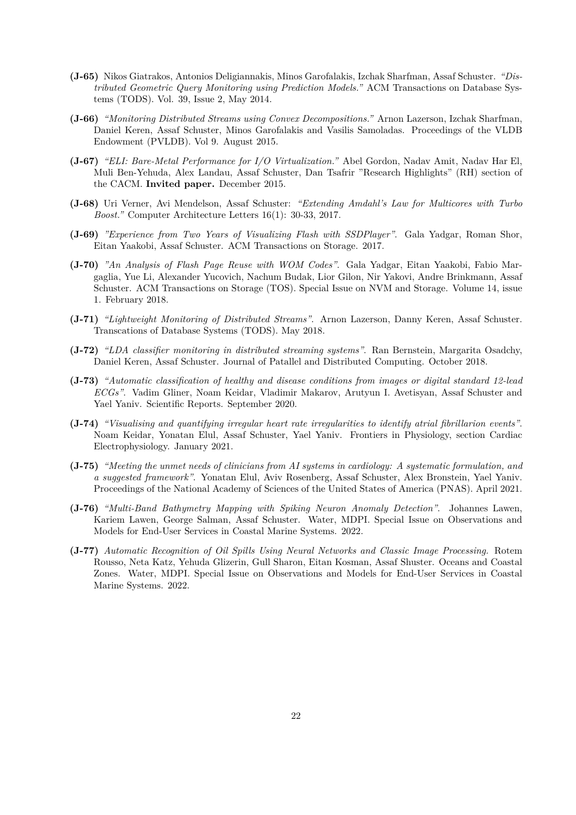- **(J-65)** Nikos Giatrakos, Antonios Deligiannakis, Minos Garofalakis, Izchak Sharfman, Assaf Schuster. *"Distributed Geometric Query Monitoring using Prediction Models."* ACM Transactions on Database Systems (TODS). Vol. 39, Issue 2, May 2014.
- **(J-66)** *"Monitoring Distributed Streams using Convex Decompositions."* Arnon Lazerson, Izchak Sharfman, Daniel Keren, Assaf Schuster, Minos Garofalakis and Vasilis Samoladas. Proceedings of the VLDB Endowment (PVLDB). Vol 9. August 2015.
- **(J-67)** *"ELI: Bare-Metal Performance for I/O Virtualization."* Abel Gordon, Nadav Amit, Nadav Har El, Muli Ben-Yehuda, Alex Landau, Assaf Schuster, Dan Tsafrir "Research Highlights" (RH) section of the CACM. **Invited paper.** December 2015.
- **(J-68)** Uri Verner, Avi Mendelson, Assaf Schuster: *"Extending Amdahl's Law for Multicores with Turbo Boost."* Computer Architecture Letters 16(1): 30-33, 2017.
- **(J-69)** *"Experience from Two Years of Visualizing Flash with SSDPlayer"*. Gala Yadgar, Roman Shor, Eitan Yaakobi, Assaf Schuster. ACM Transactions on Storage. 2017.
- **(J-70)** *"An Analysis of Flash Page Reuse with WOM Codes"*. Gala Yadgar, Eitan Yaakobi, Fabio Margaglia, Yue Li, Alexander Yucovich, Nachum Budak, Lior Gilon, Nir Yakovi, Andre Brinkmann, Assaf Schuster. ACM Transactions on Storage (TOS). Special Issue on NVM and Storage. Volume 14, issue 1. February 2018.
- **(J-71)** *"Lightweight Monitoring of Distributed Streams"*. Arnon Lazerson, Danny Keren, Assaf Schuster. Transcations of Database Systems (TODS). May 2018.
- **(J-72)** *"LDA classifier monitoring in distributed streaming systems"*. Ran Bernstein, Margarita Osadchy, Daniel Keren, Assaf Schuster. Journal of Patallel and Distributed Computing. October 2018.
- **(J-73)** *"Automatic classification of healthy and disease conditions from images or digital standard 12-lead ECGs"*. Vadim Gliner, Noam Keidar, Vladimir Makarov, Arutyun I. Avetisyan, Assaf Schuster and Yael Yaniv. Scientific Reports. September 2020.
- **(J-74)** *"Visualising and quantifying irregular heart rate irregularities to identify atrial fibrillarion events"*. Noam Keidar, Yonatan Elul, Assaf Schuster, Yael Yaniv. Frontiers in Physiology, section Cardiac Electrophysiology. January 2021.
- **(J-75)** *"Meeting the unmet needs of clinicians from AI systems in cardiology: A systematic formulation, and a suggested framework"*. Yonatan Elul, Aviv Rosenberg, Assaf Schuster, Alex Bronstein, Yael Yaniv. Proceedings of the National Academy of Sciences of the United States of America (PNAS). April 2021.
- **(J-76)** *"Multi-Band Bathymetry Mapping with Spiking Neuron Anomaly Detection"*. Johannes Lawen, Kariem Lawen, George Salman, Assaf Schuster. Water, MDPI. Special Issue on Observations and Models for End-User Services in Coastal Marine Systems. 2022.
- **(J-77)** *Automatic Recognition of Oil Spills Using Neural Networks and Classic Image Processing.* Rotem Rousso, Neta Katz, Yehuda Glizerin, Gull Sharon, Eitan Kosman, Assaf Shuster. Oceans and Coastal Zones. Water, MDPI. Special Issue on Observations and Models for End-User Services in Coastal Marine Systems. 2022.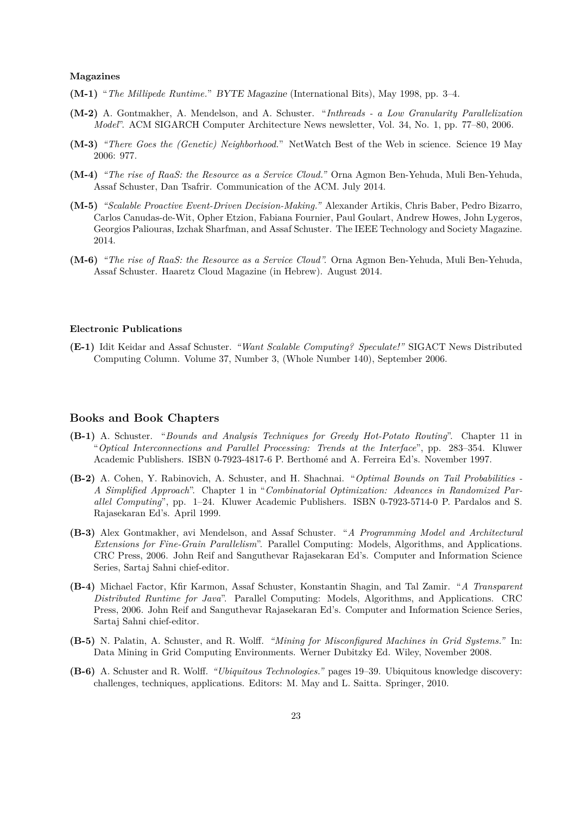#### **Magazines**

- **(M-1)** "*The Millipede Runtime.*" *BYTE Magazine* (International Bits), May 1998, pp. 3–4.
- **(M-2)** A. Gontmakher, A. Mendelson, and A. Schuster. "*Inthreads a Low Granularity Parallelization Model*". ACM SIGARCH Computer Architecture News newsletter, Vol. 34, No. 1, pp. 77–80, 2006.
- **(M-3)** *"There Goes the (Genetic) Neighborhood.*" NetWatch Best of the Web in science. Science 19 May 2006: 977.
- **(M-4)** *"The rise of RaaS: the Resource as a Service Cloud."* Orna Agmon Ben-Yehuda, Muli Ben-Yehuda, Assaf Schuster, Dan Tsafrir. Communication of the ACM. July 2014.
- **(M-5)** *"Scalable Proactive Event-Driven Decision-Making."* Alexander Artikis, Chris Baber, Pedro Bizarro, Carlos Canudas-de-Wit, Opher Etzion, Fabiana Fournier, Paul Goulart, Andrew Howes, John Lygeros, Georgios Paliouras, Izchak Sharfman, and Assaf Schuster. The IEEE Technology and Society Magazine. 2014.
- **(M-6)** *"The rise of RaaS: the Resource as a Service Cloud".* Orna Agmon Ben-Yehuda, Muli Ben-Yehuda, Assaf Schuster. Haaretz Cloud Magazine (in Hebrew). August 2014.

#### **Electronic Publications**

**(E-1)** Idit Keidar and Assaf Schuster. *"Want Scalable Computing? Speculate!"* SIGACT News Distributed Computing Column. Volume 37, Number 3, (Whole Number 140), September 2006.

#### **Books and Book Chapters**

- **(B-1)** A. Schuster. "*Bounds and Analysis Techniques for Greedy Hot-Potato Routing*". Chapter 11 in "*Optical Interconnections and Parallel Processing: Trends at the Interface*", pp. 283–354. Kluwer Academic Publishers. ISBN 0-7923-4817-6 P. Berthomé and A. Ferreira Ed's. November 1997.
- **(B-2)** A. Cohen, Y. Rabinovich, A. Schuster, and H. Shachnai. "*Optimal Bounds on Tail Probabilities - A Simplified Approach*". Chapter 1 in "*Combinatorial Optimization: Advances in Randomized Parallel Computing*", pp. 1–24. Kluwer Academic Publishers. ISBN 0-7923-5714-0 P. Pardalos and S. Rajasekaran Ed's. April 1999.
- **(B-3)** Alex Gontmakher, avi Mendelson, and Assaf Schuster. "*A Programming Model and Architectural Extensions for Fine-Grain Parallelism*". Parallel Computing: Models, Algorithms, and Applications. CRC Press, 2006. John Reif and Sanguthevar Rajasekaran Ed's. Computer and Information Science Series, Sartaj Sahni chief-editor.
- **(B-4)** Michael Factor, Kfir Karmon, Assaf Schuster, Konstantin Shagin, and Tal Zamir. "*A Transparent Distributed Runtime for Java*". Parallel Computing: Models, Algorithms, and Applications. CRC Press, 2006. John Reif and Sanguthevar Rajasekaran Ed's. Computer and Information Science Series, Sartaj Sahni chief-editor.
- **(B-5)** N. Palatin, A. Schuster, and R. Wolff. *"Mining for Misconfigured Machines in Grid Systems."* In: Data Mining in Grid Computing Environments. Werner Dubitzky Ed. Wiley, November 2008.
- **(B-6)** A. Schuster and R. Wolff. *"Ubiquitous Technologies."* pages 19–39. Ubiquitous knowledge discovery: challenges, techniques, applications. Editors: M. May and L. Saitta. Springer, 2010.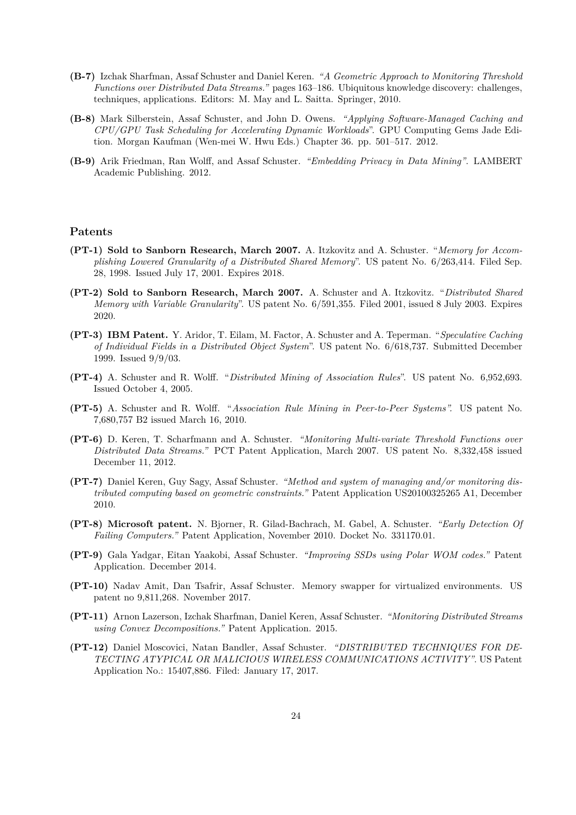- **(B-7)** Izchak Sharfman, Assaf Schuster and Daniel Keren. *"A Geometric Approach to Monitoring Threshold Functions over Distributed Data Streams."* pages 163–186. Ubiquitous knowledge discovery: challenges, techniques, applications. Editors: M. May and L. Saitta. Springer, 2010.
- **(B-8)** Mark Silberstein, Assaf Schuster, and John D. Owens. *"Applying Software-Managed Caching and CPU/GPU Task Scheduling for Accelerating Dynamic Workloads*". GPU Computing Gems Jade Edition. Morgan Kaufman (Wen-mei W. Hwu Eds.) Chapter 36. pp. 501–517. 2012.
- **(B-9)** Arik Friedman, Ran Wolff, and Assaf Schuster. *"Embedding Privacy in Data Mining"*. LAMBERT Academic Publishing. 2012.

#### **Patents**

- **(PT-1) Sold to Sanborn Research, March 2007.** A. Itzkovitz and A. Schuster. "*Memory for Accomplishing Lowered Granularity of a Distributed Shared Memory*". US patent No. 6/263,414. Filed Sep. 28, 1998. Issued July 17, 2001. Expires 2018.
- **(PT-2) Sold to Sanborn Research, March 2007.** A. Schuster and A. Itzkovitz. "*Distributed Shared Memory with Variable Granularity*". US patent No. 6/591,355. Filed 2001, issued 8 July 2003. Expires 2020.
- **(PT-3) IBM Patent.** Y. Aridor, T. Eilam, M. Factor, A. Schuster and A. Teperman. "*Speculative Caching of Individual Fields in a Distributed Object System*". US patent No. 6/618,737. Submitted December 1999. Issued 9/9/03.
- **(PT-4)** A. Schuster and R. Wolff. "*Distributed Mining of Association Rules*". US patent No. 6,952,693. Issued October 4, 2005.
- **(PT-5)** A. Schuster and R. Wolff. "*Association Rule Mining in Peer-to-Peer Systems".* US patent No. 7,680,757 B2 issued March 16, 2010.
- **(PT-6)** D. Keren, T. Scharfmann and A. Schuster. *"Monitoring Multi-variate Threshold Functions over Distributed Data Streams."* PCT Patent Application, March 2007. US patent No. 8,332,458 issued December 11, 2012.
- **(PT-7)** Daniel Keren, Guy Sagy, Assaf Schuster. *"Method and system of managing and/or monitoring distributed computing based on geometric constraints."* Patent Application US20100325265 A1, December 2010.
- **(PT-8) Microsoft patent.** N. Bjorner, R. Gilad-Bachrach, M. Gabel, A. Schuster. *"Early Detection Of Failing Computers."* Patent Application, November 2010. Docket No. 331170.01.
- **(PT-9)** Gala Yadgar, Eitan Yaakobi, Assaf Schuster. *"Improving SSDs using Polar WOM codes."* Patent Application. December 2014.
- **(PT-10)** Nadav Amit, Dan Tsafrir, Assaf Schuster. Memory swapper for virtualized environments. US patent no 9,811,268. November 2017.
- **(PT-11)** Arnon Lazerson, Izchak Sharfman, Daniel Keren, Assaf Schuster. *"Monitoring Distributed Streams using Convex Decompositions."* Patent Application. 2015.
- **(PT-12)** Daniel Moscovici, Natan Bandler, Assaf Schuster. *"DISTRIBUTED TECHNIQUES FOR DE-TECTING ATYPICAL OR MALICIOUS WIRELESS COMMUNICATIONS ACTIVITY"*. US Patent Application No.: 15407,886. Filed: January 17, 2017.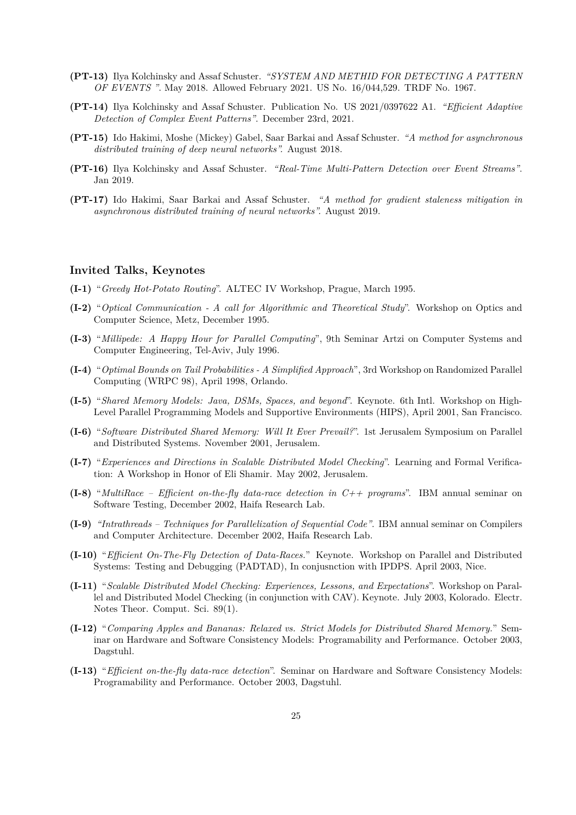- **(PT-13)** Ilya Kolchinsky and Assaf Schuster. *"SYSTEM AND METHID FOR DETECTING A PATTERN OF EVENTS "*. May 2018. Allowed February 2021. US No. 16/044,529. TRDF No. 1967.
- **(PT-14)** Ilya Kolchinsky and Assaf Schuster. Publication No. US 2021/0397622 A1. *"Efficient Adaptive Detection of Complex Event Patterns"*. December 23rd, 2021.
- **(PT-15)** Ido Hakimi, Moshe (Mickey) Gabel, Saar Barkai and Assaf Schuster. *"A method for asynchronous distributed training of deep neural networks".* August 2018.
- **(PT-16)** Ilya Kolchinsky and Assaf Schuster. *"Real-Time Multi-Pattern Detection over Event Streams"*. Jan 2019.
- **(PT-17)** Ido Hakimi, Saar Barkai and Assaf Schuster. *"A method for gradient staleness mitigation in asynchronous distributed training of neural networks".* August 2019.

### **Invited Talks, Keynotes**

- **(I-1)** "*Greedy Hot-Potato Routing*". ALTEC IV Workshop, Prague, March 1995.
- **(I-2)** "*Optical Communication A call for Algorithmic and Theoretical Study*". Workshop on Optics and Computer Science, Metz, December 1995.
- **(I-3)** "*Millipede: A Happy Hour for Parallel Computing*", 9th Seminar Artzi on Computer Systems and Computer Engineering, Tel-Aviv, July 1996.
- **(I-4)** "*Optimal Bounds on Tail Probabilities A Simplified Approach*", 3rd Workshop on Randomized Parallel Computing (WRPC 98), April 1998, Orlando.
- **(I-5)** "*Shared Memory Models: Java, DSMs, Spaces, and beyond*". Keynote. 6th Intl. Workshop on High-Level Parallel Programming Models and Supportive Environments (HIPS), April 2001, San Francisco.
- **(I-6)** "*Software Distributed Shared Memory: Will It Ever Prevail?*". 1st Jerusalem Symposium on Parallel and Distributed Systems. November 2001, Jerusalem.
- **(I-7)** "*Experiences and Directions in Scalable Distributed Model Checking*". Learning and Formal Verification: A Workshop in Honor of Eli Shamir. May 2002, Jerusalem.
- **(I-8)** "*MultiRace Efficient on-the-fly data-race detection in C++ programs*". IBM annual seminar on Software Testing, December 2002, Haifa Research Lab.
- **(I-9)** *"Intrathreads Techniques for Parallelization of Sequential Code"*. IBM annual seminar on Compilers and Computer Architecture. December 2002, Haifa Research Lab.
- **(I-10)** "*Efficient On-The-Fly Detection of Data-Races.*" Keynote. Workshop on Parallel and Distributed Systems: Testing and Debugging (PADTAD), In conjusnction with IPDPS. April 2003, Nice.
- **(I-11)** "*Scalable Distributed Model Checking: Experiences, Lessons, and Expectations*". Workshop on Parallel and Distributed Model Checking (in conjunction with CAV). Keynote. July 2003, Kolorado. Electr. Notes Theor. Comput. Sci. 89(1).
- **(I-12)** "*Comparing Apples and Bananas: Relaxed vs. Strict Models for Distributed Shared Memory.*" Seminar on Hardware and Software Consistency Models: Programability and Performance. October 2003, Dagstuhl.
- **(I-13)** "*Efficient on-the-fly data-race detection*". Seminar on Hardware and Software Consistency Models: Programability and Performance. October 2003, Dagstuhl.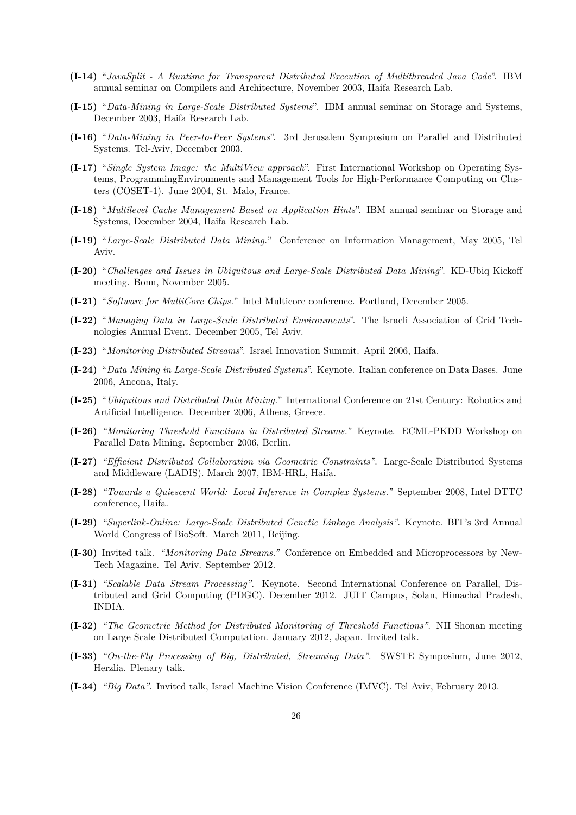- **(I-14)** "*JavaSplit A Runtime for Transparent Distributed Execution of Multithreaded Java Code*". IBM annual seminar on Compilers and Architecture, November 2003, Haifa Research Lab.
- **(I-15)** "*Data-Mining in Large-Scale Distributed Systems*". IBM annual seminar on Storage and Systems, December 2003, Haifa Research Lab.
- **(I-16)** "*Data-Mining in Peer-to-Peer Systems*". 3rd Jerusalem Symposium on Parallel and Distributed Systems. Tel-Aviv, December 2003.
- **(I-17)** "*Single System Image: the MultiView approach*". First International Workshop on Operating Systems, ProgrammingEnvironments and Management Tools for High-Performance Computing on Clusters (COSET-1). June 2004, St. Malo, France.
- **(I-18)** "*Multilevel Cache Management Based on Application Hints*". IBM annual seminar on Storage and Systems, December 2004, Haifa Research Lab.
- **(I-19)** "*Large-Scale Distributed Data Mining.*" Conference on Information Management, May 2005, Tel Aviv.
- **(I-20)** "*Challenges and Issues in Ubiquitous and Large-Scale Distributed Data Mining*". KD-Ubiq Kickoff meeting. Bonn, November 2005.
- **(I-21)** "*Software for MultiCore Chips.*" Intel Multicore conference. Portland, December 2005.
- **(I-22)** "*Managing Data in Large-Scale Distributed Environments*". The Israeli Association of Grid Technologies Annual Event. December 2005, Tel Aviv.
- **(I-23)** "*Monitoring Distributed Streams*". Israel Innovation Summit. April 2006, Haifa.
- **(I-24)** "*Data Mining in Large-Scale Distributed Systems*". Keynote. Italian conference on Data Bases. June 2006, Ancona, Italy.
- **(I-25)** "*Ubiquitous and Distributed Data Mining.*" International Conference on 21st Century: Robotics and Artificial Intelligence. December 2006, Athens, Greece.
- **(I-26)** *"Monitoring Threshold Functions in Distributed Streams."* Keynote. ECML-PKDD Workshop on Parallel Data Mining. September 2006, Berlin.
- **(I-27)** *"Efficient Distributed Collaboration via Geometric Constraints"*. Large-Scale Distributed Systems and Middleware (LADIS). March 2007, IBM-HRL, Haifa.
- **(I-28)** *"Towards a Quiescent World: Local Inference in Complex Systems."* September 2008, Intel DTTC conference, Haifa.
- **(I-29)** *"Superlink-Online: Large-Scale Distributed Genetic Linkage Analysis"*. Keynote. BIT's 3rd Annual World Congress of BioSoft. March 2011, Beijing.
- **(I-30)** Invited talk. *"Monitoring Data Streams."* Conference on Embedded and Microprocessors by New-Tech Magazine. Tel Aviv. September 2012.
- **(I-31)** *"Scalable Data Stream Processing"*. Keynote. Second International Conference on Parallel, Distributed and Grid Computing (PDGC). December 2012. JUIT Campus, Solan, Himachal Pradesh, INDIA.
- **(I-32)** *"The Geometric Method for Distributed Monitoring of Threshold Functions"*. NII Shonan meeting on Large Scale Distributed Computation. January 2012, Japan. Invited talk.
- **(I-33)** *"On-the-Fly Processing of Big, Distributed, Streaming Data"*. SWSTE Symposium, June 2012, Herzlia. Plenary talk.
- **(I-34)** *"Big Data"*. Invited talk, Israel Machine Vision Conference (IMVC). Tel Aviv, February 2013.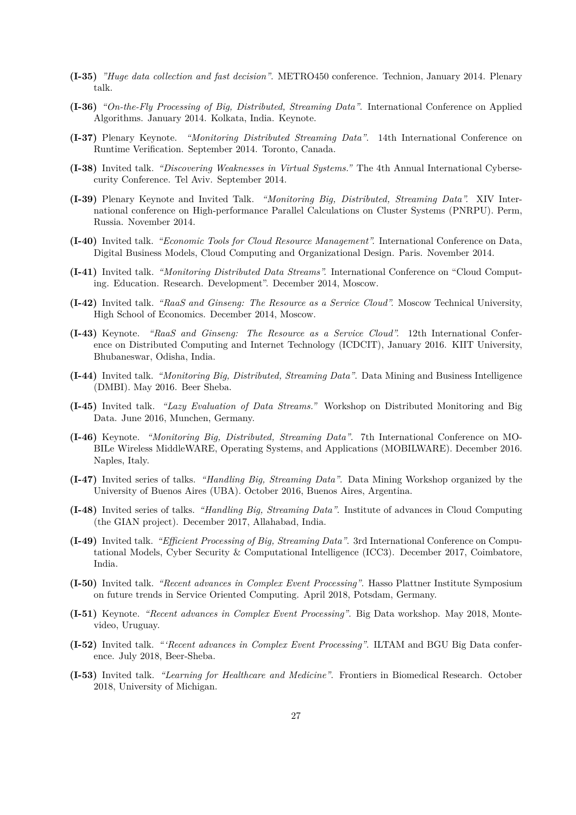- **(I-35)** *"Huge data collection and fast decision"*. METRO450 conference. Technion, January 2014. Plenary talk.
- **(I-36)** *"On-the-Fly Processing of Big, Distributed, Streaming Data"*. International Conference on Applied Algorithms. January 2014. Kolkata, India. Keynote.
- **(I-37)** Plenary Keynote. *"Monitoring Distributed Streaming Data"*. 14th International Conference on Runtime Verification. September 2014. Toronto, Canada.
- **(I-38)** Invited talk. *"Discovering Weaknesses in Virtual Systems."* The 4th Annual International Cybersecurity Conference. Tel Aviv. September 2014.
- **(I-39)** Plenary Keynote and Invited Talk. *"Monitoring Big, Distributed, Streaming Data".* XIV International conference on High-performance Parallel Calculations on Cluster Systems (PNRPU). Perm, Russia. November 2014.
- **(I-40)** Invited talk. *"Economic Tools for Cloud Resource Management".* International Conference on Data, Digital Business Models, Cloud Computing and Organizational Design. Paris. November 2014.
- **(I-41)** Invited talk. *"Monitoring Distributed Data Streams".* International Conference on "Cloud Computing. Education. Research. Development". December 2014, Moscow.
- **(I-42)** Invited talk. *"RaaS and Ginseng: The Resource as a Service Cloud".* Moscow Technical University, High School of Economics. December 2014, Moscow.
- **(I-43)** Keynote. *"RaaS and Ginseng: The Resource as a Service Cloud".* 12th International Conference on Distributed Computing and Internet Technology (ICDCIT), January 2016. KIIT University, Bhubaneswar, Odisha, India.
- **(I-44)** Invited talk. *"Monitoring Big, Distributed, Streaming Data"*. Data Mining and Business Intelligence (DMBI). May 2016. Beer Sheba.
- **(I-45)** Invited talk. *"Lazy Evaluation of Data Streams."* Workshop on Distributed Monitoring and Big Data. June 2016, Munchen, Germany.
- **(I-46)** Keynote. *"Monitoring Big, Distributed, Streaming Data"*. 7th International Conference on MO-BILe Wireless MiddleWARE, Operating Systems, and Applications (MOBILWARE). December 2016. Naples, Italy.
- **(I-47)** Invited series of talks. *"Handling Big, Streaming Data"*. Data Mining Workshop organized by the University of Buenos Aires (UBA). October 2016, Buenos Aires, Argentina.
- **(I-48)** Invited series of talks. *"Handling Big, Streaming Data"*. Institute of advances in Cloud Computing (the GIAN project). December 2017, Allahabad, India.
- **(I-49)** Invited talk. *"Efficient Processing of Big, Streaming Data"*. 3rd International Conference on Computational Models, Cyber Security & Computational Intelligence (ICC3). December 2017, Coimbatore, India.
- **(I-50)** Invited talk. *"Recent advances in Complex Event Processing"*. Hasso Plattner Institute Symposium on future trends in Service Oriented Computing. April 2018, Potsdam, Germany.
- **(I-51)** Keynote. *"Recent advances in Complex Event Processing"*. Big Data workshop. May 2018, Montevideo, Uruguay.
- **(I-52)** Invited talk. *"'Recent advances in Complex Event Processing"*. ILTAM and BGU Big Data conference. July 2018, Beer-Sheba.
- **(I-53)** Invited talk. *"Learning for Healthcare and Medicine"*. Frontiers in Biomedical Research. October 2018, University of Michigan.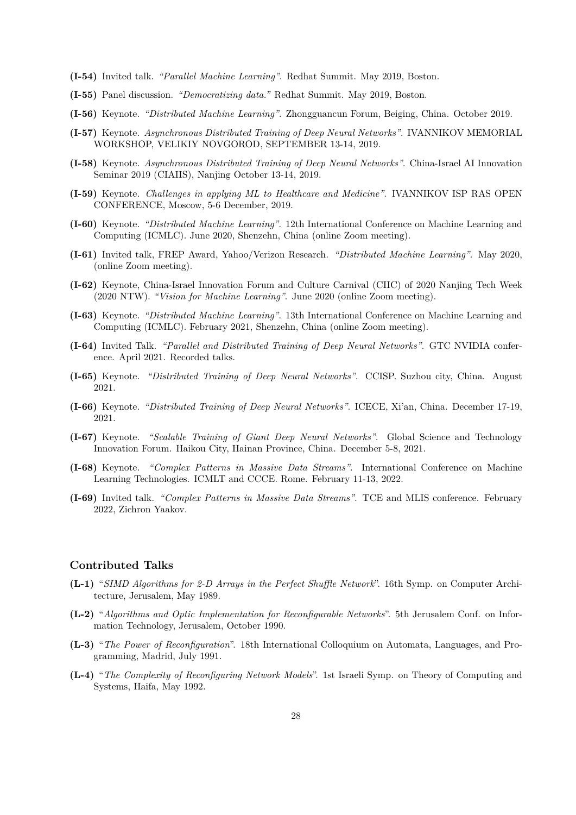- **(I-54)** Invited talk. *"Parallel Machine Learning"*. Redhat Summit. May 2019, Boston.
- **(I-55)** Panel discussion. *"Democratizing data."* Redhat Summit. May 2019, Boston.
- **(I-56)** Keynote. *"Distributed Machine Learning"*. Zhongguancun Forum, Beiging, China. October 2019.
- **(I-57)** Keynote. *Asynchronous Distributed Training of Deep Neural Networks"*. IVANNIKOV MEMORIAL WORKSHOP, VELIKIY NOVGOROD, SEPTEMBER 13-14, 2019.
- **(I-58)** Keynote. *Asynchronous Distributed Training of Deep Neural Networks"*. China-Israel AI Innovation Seminar 2019 (CIAIIS), Nanjing October 13-14, 2019.
- **(I-59)** Keynote. *Challenges in applying ML to Healthcare and Medicine"*. IVANNIKOV ISP RAS OPEN CONFERENCE, Moscow, 5-6 December, 2019.
- **(I-60)** Keynote. *"Distributed Machine Learning"*. 12th International Conference on Machine Learning and Computing (ICMLC). June 2020, Shenzehn, China (online Zoom meeting).
- **(I-61)** Invited talk, FREP Award, Yahoo/Verizon Research. *"Distributed Machine Learning"*. May 2020, (online Zoom meeting).
- **(I-62)** Keynote, China-Israel Innovation Forum and Culture Carnival (CIIC) of 2020 Nanjing Tech Week (2020 NTW). *"Vision for Machine Learning"*. June 2020 (online Zoom meeting).
- **(I-63)** Keynote. *"Distributed Machine Learning"*. 13th International Conference on Machine Learning and Computing (ICMLC). February 2021, Shenzehn, China (online Zoom meeting).
- **(I-64)** Invited Talk. *"Parallel and Distributed Training of Deep Neural Networks"*. GTC NVIDIA conference. April 2021. Recorded talks.
- **(I-65)** Keynote. *"Distributed Training of Deep Neural Networks"*. CCISP. Suzhou city, China. August 2021.
- **(I-66)** Keynote. *"Distributed Training of Deep Neural Networks"*. ICECE, Xi'an, China. December 17-19, 2021.
- **(I-67)** Keynote. *"Scalable Training of Giant Deep Neural Networks"*. Global Science and Technology Innovation Forum. Haikou City, Hainan Province, China. December 5-8, 2021.
- **(I-68)** Keynote. *"Complex Patterns in Massive Data Streams"*. International Conference on Machine Learning Technologies. ICMLT and CCCE. Rome. February 11-13, 2022.
- **(I-69)** Invited talk. *"Complex Patterns in Massive Data Streams"*. TCE and MLIS conference. February 2022, Zichron Yaakov.

# **Contributed Talks**

- **(L-1)** "*SIMD Algorithms for 2-D Arrays in the Perfect Shuffle Network*". 16th Symp. on Computer Architecture, Jerusalem, May 1989.
- **(L-2)** "*Algorithms and Optic Implementation for Reconfigurable Networks*". 5th Jerusalem Conf. on Information Technology, Jerusalem, October 1990.
- **(L-3)** "*The Power of Reconfiguration*". 18th International Colloquium on Automata, Languages, and Programming, Madrid, July 1991.
- **(L-4)** "*The Complexity of Reconfiguring Network Models*". 1st Israeli Symp. on Theory of Computing and Systems, Haifa, May 1992.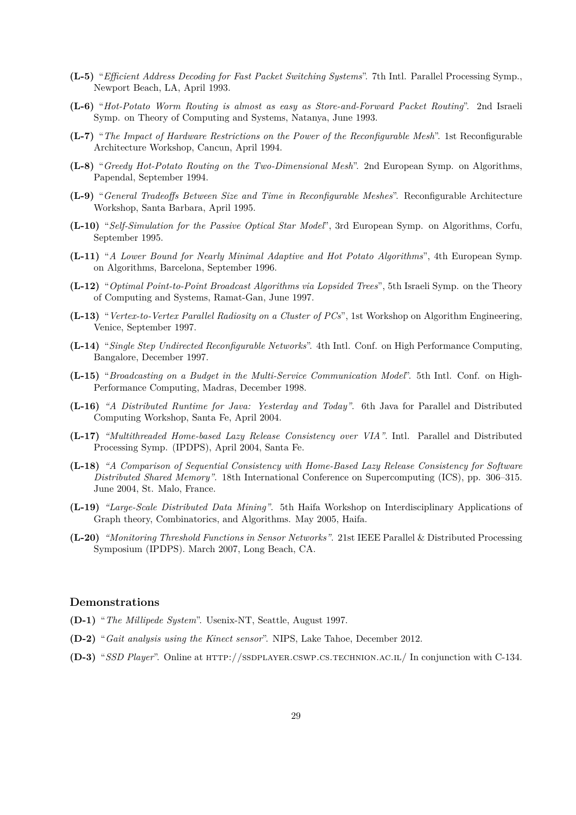- **(L-5)** "*Efficient Address Decoding for Fast Packet Switching Systems*". 7th Intl. Parallel Processing Symp., Newport Beach, LA, April 1993.
- **(L-6)** "*Hot-Potato Worm Routing is almost as easy as Store-and-Forward Packet Routing*". 2nd Israeli Symp. on Theory of Computing and Systems, Natanya, June 1993.
- **(L-7)** "*The Impact of Hardware Restrictions on the Power of the Reconfigurable Mesh*". 1st Reconfigurable Architecture Workshop, Cancun, April 1994.
- **(L-8)** "*Greedy Hot-Potato Routing on the Two-Dimensional Mesh*". 2nd European Symp. on Algorithms, Papendal, September 1994.
- **(L-9)** "*General Tradeoffs Between Size and Time in Reconfigurable Meshes*". Reconfigurable Architecture Workshop, Santa Barbara, April 1995.
- **(L-10)** "*Self-Simulation for the Passive Optical Star Model*", 3rd European Symp. on Algorithms, Corfu, September 1995.
- **(L-11)** "*A Lower Bound for Nearly Minimal Adaptive and Hot Potato Algorithms*", 4th European Symp. on Algorithms, Barcelona, September 1996.
- **(L-12)** "*Optimal Point-to-Point Broadcast Algorithms via Lopsided Trees*", 5th Israeli Symp. on the Theory of Computing and Systems, Ramat-Gan, June 1997.
- **(L-13)** "*Vertex-to-Vertex Parallel Radiosity on a Cluster of PCs*", 1st Workshop on Algorithm Engineering, Venice, September 1997.
- **(L-14)** "*Single Step Undirected Reconfigurable Networks*". 4th Intl. Conf. on High Performance Computing, Bangalore, December 1997.
- **(L-15)** "*Broadcasting on a Budget in the Multi-Service Communication Model*". 5th Intl. Conf. on High-Performance Computing, Madras, December 1998.
- **(L-16)** *"A Distributed Runtime for Java: Yesterday and Today"*. 6th Java for Parallel and Distributed Computing Workshop, Santa Fe, April 2004.
- **(L-17)** *"Multithreaded Home-based Lazy Release Consistency over VIA"*. Intl. Parallel and Distributed Processing Symp. (IPDPS), April 2004, Santa Fe.
- **(L-18)** *"A Comparison of Sequential Consistency with Home-Based Lazy Release Consistency for Software Distributed Shared Memory"*. 18th International Conference on Supercomputing (ICS), pp. 306–315. June 2004, St. Malo, France.
- **(L-19)** *"Large-Scale Distributed Data Mining"*. 5th Haifa Workshop on Interdisciplinary Applications of Graph theory, Combinatorics, and Algorithms. May 2005, Haifa.
- **(L-20)** *"Monitoring Threshold Functions in Sensor Networks"*. 21st IEEE Parallel & Distributed Processing Symposium (IPDPS). March 2007, Long Beach, CA.

## **Demonstrations**

- **(D-1)** "*The Millipede System*". Usenix-NT, Seattle, August 1997.
- **(D-2)** "*Gait analysis using the Kinect sensor*". NIPS, Lake Tahoe, December 2012.
- **(D-3)** "*SSD Player*". Online at http://ssdplayer.cswp.cs.technion.ac.il/ In conjunction with C-134.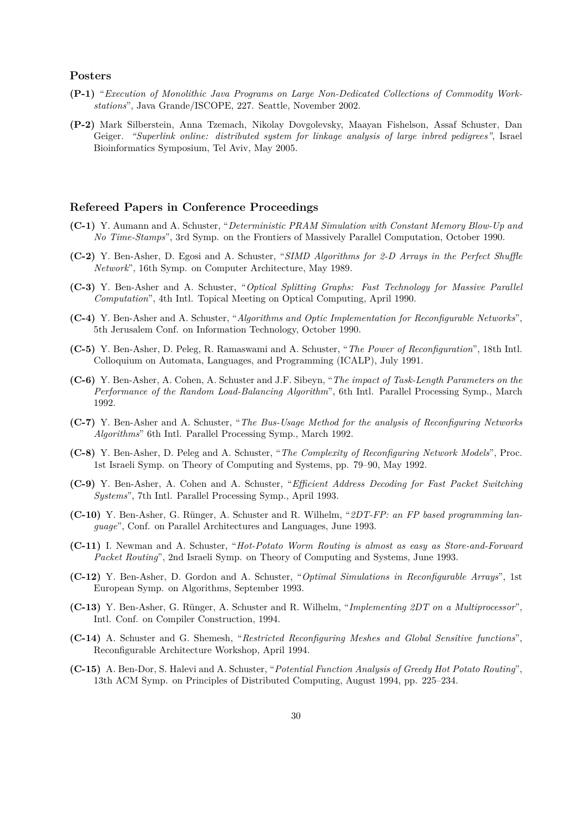#### **Posters**

- **(P-1)** "*Execution of Monolithic Java Programs on Large Non-Dedicated Collections of Commodity Workstations*", Java Grande/ISCOPE, 227. Seattle, November 2002.
- **(P-2)** Mark Silberstein, Anna Tzemach, Nikolay Dovgolevsky, Maayan Fishelson, Assaf Schuster, Dan Geiger. *"Superlink online: distributed system for linkage analysis of large inbred pedigrees"*, Israel Bioinformatics Symposium, Tel Aviv, May 2005.

# **Refereed Papers in Conference Proceedings**

- **(C-1)** Y. Aumann and A. Schuster, "*Deterministic PRAM Simulation with Constant Memory Blow-Up and No Time-Stamps*", 3rd Symp. on the Frontiers of Massively Parallel Computation, October 1990.
- **(C-2)** Y. Ben-Asher, D. Egosi and A. Schuster, "*SIMD Algorithms for 2-D Arrays in the Perfect Shuffle Network*", 16th Symp. on Computer Architecture, May 1989.
- **(C-3)** Y. Ben-Asher and A. Schuster, "*Optical Splitting Graphs: Fast Technology for Massive Parallel Computation*", 4th Intl. Topical Meeting on Optical Computing, April 1990.
- **(C-4)** Y. Ben-Asher and A. Schuster, "*Algorithms and Optic Implementation for Reconfigurable Networks*", 5th Jerusalem Conf. on Information Technology, October 1990.
- **(C-5)** Y. Ben-Asher, D. Peleg, R. Ramaswami and A. Schuster, "*The Power of Reconfiguration*", 18th Intl. Colloquium on Automata, Languages, and Programming (ICALP), July 1991.
- **(C-6)** Y. Ben-Asher, A. Cohen, A. Schuster and J.F. Sibeyn, "*The impact of Task-Length Parameters on the Performance of the Random Load-Balancing Algorithm*", 6th Intl. Parallel Processing Symp., March 1992.
- **(C-7)** Y. Ben-Asher and A. Schuster, "*The Bus-Usage Method for the analysis of Reconfiguring Networks Algorithms*" 6th Intl. Parallel Processing Symp., March 1992.
- **(C-8)** Y. Ben-Asher, D. Peleg and A. Schuster, "*The Complexity of Reconfiguring Network Models*", Proc. 1st Israeli Symp. on Theory of Computing and Systems, pp. 79–90, May 1992.
- **(C-9)** Y. Ben-Asher, A. Cohen and A. Schuster, "*Efficient Address Decoding for Fast Packet Switching Systems*", 7th Intl. Parallel Processing Symp., April 1993.
- **(C-10)** Y. Ben-Asher, G. Rünger, A. Schuster and R. Wilhelm, "*2DT-FP: an FP based programming language*", Conf. on Parallel Architectures and Languages, June 1993.
- **(C-11)** I. Newman and A. Schuster, "*Hot-Potato Worm Routing is almost as easy as Store-and-Forward Packet Routing*", 2nd Israeli Symp. on Theory of Computing and Systems, June 1993.
- **(C-12)** Y. Ben-Asher, D. Gordon and A. Schuster, "*Optimal Simulations in Reconfigurable Arrays*", 1st European Symp. on Algorithms, September 1993.
- **(C-13)** Y. Ben-Asher, G. Rünger, A. Schuster and R. Wilhelm, "*Implementing 2DT on a Multiprocessor*", Intl. Conf. on Compiler Construction, 1994.
- **(C-14)** A. Schuster and G. Shemesh, "*Restricted Reconfiguring Meshes and Global Sensitive functions*", Reconfigurable Architecture Workshop, April 1994.
- **(C-15)** A. Ben-Dor, S. Halevi and A. Schuster, "*Potential Function Analysis of Greedy Hot Potato Routing*", 13th ACM Symp. on Principles of Distributed Computing, August 1994, pp. 225–234.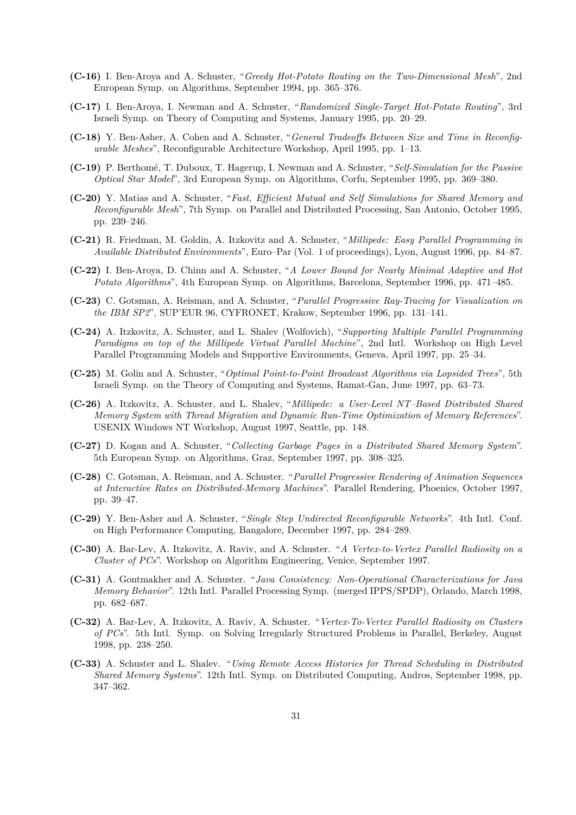- **(C-16)** I. Ben-Aroya and A. Schuster, "*Greedy Hot-Potato Routing on the Two-Dimensional Mesh*", 2nd European Symp. on Algorithms, September 1994, pp. 365–376.
- **(C-17)** I. Ben-Aroya, I. Newman and A. Schuster, "*Randomized Single-Target Hot-Potato Routing*", 3rd Israeli Symp. on Theory of Computing and Systems, January 1995, pp. 20–29.
- **(C-18)** Y. Ben-Asher, A. Cohen and A. Schuster, "*General Tradeoffs Between Size and Time in Reconfigurable Meshes*", Reconfigurable Architecture Workshop, April 1995, pp. 1–13.
- **(C-19)** P. Berthomé, T. Duboux, T. Hagerup, I. Newman and A. Schuster, "*Self-Simulation for the Passive Optical Star Model*", 3rd European Symp. on Algorithms, Corfu, September 1995, pp. 369–380.
- **(C-20)** Y. Matias and A. Schuster, "*Fast, Efficient Mutual and Self Simulations for Shared Memory and Reconfigurable Mesh*", 7th Symp. on Parallel and Distributed Processing, San Antonio, October 1995, pp. 239–246.
- **(C-21)** R. Friedman, M. Goldin, A. Itzkovitz and A. Schuster, "*Millipede: Easy Parallel Programming in Available Distributed Environments*", Euro–Par (Vol. 1 of proceedings), Lyon, August 1996, pp. 84–87.
- **(C-22)** I. Ben-Aroya, D. Chinn and A. Schuster, "*A Lower Bound for Nearly Minimal Adaptive and Hot Potato Algorithms*", 4th European Symp. on Algorithms, Barcelona, September 1996, pp. 471–485.
- **(C-23)** C. Gotsman, A. Reisman, and A. Schuster, "*Parallel Progressive Ray-Tracing for Visualization on the IBM SP2*", SUP'EUR 96, CYFRONET, Krakow, September 1996, pp. 131–141.
- **(C-24)** A. Itzkovitz, A. Schuster, and L. Shalev (Wolfovich), "*Supporting Multiple Parallel Programming Paradigms on top of the Millipede Virtual Parallel Machine*", 2nd Intl. Workshop on High Level Parallel Programming Models and Supportive Environments, Geneva, April 1997, pp. 25–34.
- **(C-25)** M. Golin and A. Schuster, "*Optimal Point-to-Point Broadcast Algorithms via Lopsided Trees*", 5th Israeli Symp. on the Theory of Computing and Systems, Ramat-Gan, June 1997, pp. 63–73.
- **(C-26)** A. Itzkovitz, A. Schuster, and L. Shalev, "*Millipede: a User-Level NT–Based Distributed Shared Memory System with Thread Migration and Dynamic Run-Time Optimization of Memory References*". USENIX Windows NT Workshop, August 1997, Seattle, pp. 148.
- **(C-27)** D. Kogan and A. Schuster, "*Collecting Garbage Pages in a Distributed Shared Memory System*". 5th European Symp. on Algorithms, Graz, September 1997, pp. 308–325.
- **(C-28)** C. Gotsman, A. Reisman, and A. Schuster. "*Parallel Progressive Rendering of Animation Sequences at Interactive Rates on Distributed-Memory Machines*". Parallel Rendering, Phoenics, October 1997, pp. 39–47.
- **(C-29)** Y. Ben-Asher and A. Schuster, "*Single Step Undirected Reconfigurable Networks*". 4th Intl. Conf. on High Performance Computing, Bangalore, December 1997, pp. 284–289.
- **(C-30)** A. Bar-Lev, A. Itzkovitz, A. Raviv, and A. Schuster. "*A Vertex-to-Vertex Parallel Radiosity on a Cluster of PCs*". Workshop on Algorithm Engineering, Venice, September 1997.
- **(C-31)** A. Gontmakher and A. Schuster. "*Java Consistency: Non-Operational Characterizations for Java Memory Behavior*". 12th Intl. Parallel Processing Symp. (merged IPPS/SPDP), Orlando, March 1998, pp. 682–687.
- **(C-32)** A. Bar-Lev, A. Itzkovitz, A. Raviv, A. Schuster. "*Vertex-To-Vertex Parallel Radiosity on Clusters of PCs*". 5th Intl. Symp. on Solving Irregularly Structured Problems in Parallel, Berkeley, August 1998, pp. 238–250.
- **(C-33)** A. Schuster and L. Shalev. "*Using Remote Access Histories for Thread Scheduling in Distributed Shared Memory Systems*". 12th Intl. Symp. on Distributed Computing, Andros, September 1998, pp. 347–362.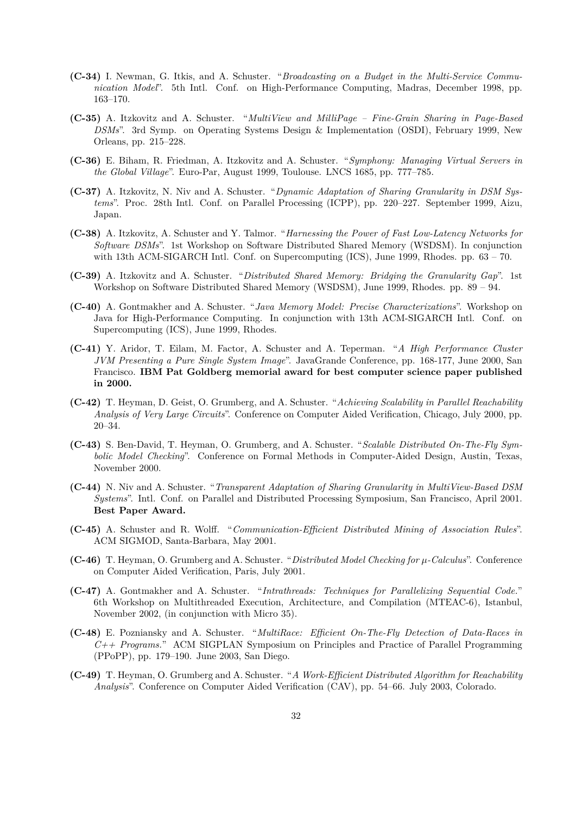- **(C-34)** I. Newman, G. Itkis, and A. Schuster. "*Broadcasting on a Budget in the Multi-Service Communication Model*". 5th Intl. Conf. on High-Performance Computing, Madras, December 1998, pp. 163–170.
- **(C-35)** A. Itzkovitz and A. Schuster. "*MultiView and MilliPage Fine-Grain Sharing in Page-Based DSMs*". 3rd Symp. on Operating Systems Design & Implementation (OSDI), February 1999, New Orleans, pp. 215–228.
- **(C-36)** E. Biham, R. Friedman, A. Itzkovitz and A. Schuster. "*Symphony: Managing Virtual Servers in the Global Village*". Euro-Par, August 1999, Toulouse. LNCS 1685, pp. 777–785.
- **(C-37)** A. Itzkovitz, N. Niv and A. Schuster. "*Dynamic Adaptation of Sharing Granularity in DSM Systems*". Proc. 28th Intl. Conf. on Parallel Processing (ICPP), pp. 220–227. September 1999, Aizu, Japan.
- **(C-38)** A. Itzkovitz, A. Schuster and Y. Talmor. "*Harnessing the Power of Fast Low-Latency Networks for Software DSMs*". 1st Workshop on Software Distributed Shared Memory (WSDSM). In conjunction with 13th ACM-SIGARCH Intl. Conf. on Supercomputing (ICS), June 1999, Rhodes. pp. 63 – 70.
- **(C-39)** A. Itzkovitz and A. Schuster. "*Distributed Shared Memory: Bridging the Granularity Gap*". 1st Workshop on Software Distributed Shared Memory (WSDSM), June 1999, Rhodes. pp. 89 – 94.
- **(C-40)** A. Gontmakher and A. Schuster. "*Java Memory Model: Precise Characterizations*". Workshop on Java for High-Performance Computing. In conjunction with 13th ACM-SIGARCH Intl. Conf. on Supercomputing (ICS), June 1999, Rhodes.
- **(C-41)** Y. Aridor, T. Eilam, M. Factor, A. Schuster and A. Teperman. "*A High Performance Cluster JVM Presenting a Pure Single System Image*". JavaGrande Conference, pp. 168-177, June 2000, San Francisco. **IBM Pat Goldberg memorial award for best computer science paper published in 2000.**
- **(C-42)** T. Heyman, D. Geist, O. Grumberg, and A. Schuster. "*Achieving Scalability in Parallel Reachability Analysis of Very Large Circuits*". Conference on Computer Aided Verification, Chicago, July 2000, pp. 20–34.
- **(C-43)** S. Ben-David, T. Heyman, O. Grumberg, and A. Schuster. "*Scalable Distributed On-The-Fly Symbolic Model Checking*". Conference on Formal Methods in Computer-Aided Design, Austin, Texas, November 2000.
- **(C-44)** N. Niv and A. Schuster. "*Transparent Adaptation of Sharing Granularity in MultiView-Based DSM Systems*". Intl. Conf. on Parallel and Distributed Processing Symposium, San Francisco, April 2001. **Best Paper Award.**
- **(C-45)** A. Schuster and R. Wolff. "*Communication-Efficient Distributed Mining of Association Rules*". ACM SIGMOD, Santa-Barbara, May 2001.
- **(C-46)** T. Heyman, O. Grumberg and A. Schuster. "*Distributed Model Checking for µ-Calculus*". Conference on Computer Aided Verification, Paris, July 2001.
- **(C-47)** A. Gontmakher and A. Schuster. "*Intrathreads: Techniques for Parallelizing Sequential Code.*" 6th Workshop on Multithreaded Execution, Architecture, and Compilation (MTEAC-6), Istanbul, November 2002, (in conjunction with Micro 35).
- **(C-48)** E. Pozniansky and A. Schuster. "*MultiRace: Efficient On-The-Fly Detection of Data-Races in C++ Programs.*" ACM SIGPLAN Symposium on Principles and Practice of Parallel Programming (PPoPP), pp. 179–190. June 2003, San Diego.
- **(C-49)** T. Heyman, O. Grumberg and A. Schuster. "*A Work-Efficient Distributed Algorithm for Reachability Analysis*". Conference on Computer Aided Verification (CAV), pp. 54–66. July 2003, Colorado.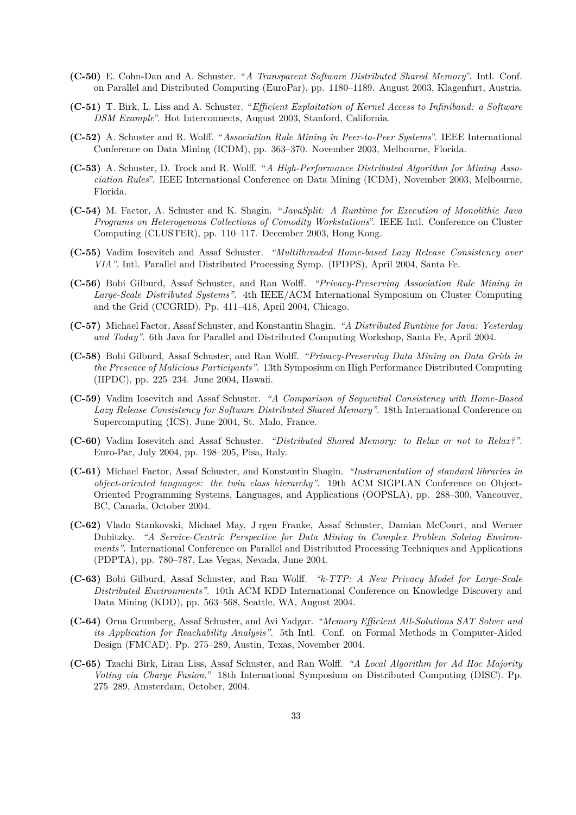- **(C-50)** E. Cohn-Dan and A. Schuster. "*A Transparent Software Distributed Shared Memory*". Intl. Conf. on Parallel and Distributed Computing (EuroPar), pp. 1180–1189. August 2003, Klagenfurt, Austria.
- **(C-51)** T. Birk, L. Liss and A. Schuster. "*Efficient Exploitation of Kernel Access to Infiniband: a Software DSM Example*". Hot Interconnects, August 2003, Stanford, California.
- **(C-52)** A. Schuster and R. Wolff. "*Association Rule Mining in Peer-to-Peer Systems*". IEEE International Conference on Data Mining (ICDM), pp. 363–370. November 2003, Melbourne, Florida.
- **(C-53)** A. Schuster, D. Trock and R. Wolff. "*A High-Performance Distributed Algorithm for Mining Association Rules*". IEEE International Conference on Data Mining (ICDM), November 2003, Melbourne, Florida.
- **(C-54)** M. Factor, A. Schuster and K. Shagin. "*JavaSplit: A Runtime for Execution of Monolithic Java Programs on Heterogenous Collections of Comodity Workstations*". IEEE Intl. Conference on Cluster Computing (CLUSTER), pp. 110–117. December 2003, Hong Kong.
- **(C-55)** Vadim Iosevitch and Assaf Schuster. *"Multithreaded Home-based Lazy Release Consistency over VIA"*. Intl. Parallel and Distributed Processing Symp. (IPDPS), April 2004, Santa Fe.
- **(C-56)** Bobi Gilburd, Assaf Schuster, and Ran Wolff. *"Privacy-Preserving Association Rule Mining in Large-Scale Distributed Systems"*. 4th IEEE/ACM International Symposium on Cluster Computing and the Grid (CCGRID). Pp. 411–418, April 2004, Chicago.
- **(C-57)** Michael Factor, Assaf Schuster, and Konstantin Shagin. *"A Distributed Runtime for Java: Yesterday and Today"*. 6th Java for Parallel and Distributed Computing Workshop, Santa Fe, April 2004.
- **(C-58)** Bobi Gilburd, Assaf Schuster, and Ran Wolff. *"Privacy-Preserving Data Mining on Data Grids in the Presence of Malicious Participants"*. 13th Symposium on High Performance Distributed Computing (HPDC), pp. 225–234. June 2004, Hawaii.
- **(C-59)** Vadim Iosevitch and Assaf Schuster. *"A Comparison of Sequential Consistency with Home-Based Lazy Release Consistency for Software Distributed Shared Memory"*. 18th International Conference on Supercomputing (ICS). June 2004, St. Malo, France.
- **(C-60)** Vadim Iosevitch and Assaf Schuster. *"Distributed Shared Memory: to Relax or not to Relax?"*. Euro-Par, July 2004, pp. 198–205, Pisa, Italy.
- **(C-61)** Michael Factor, Assaf Schuster, and Konstantin Shagin. *"Instrumentation of standard libraries in object-oriented languages: the twin class hierarchy"*. 19th ACM SIGPLAN Conference on Object-Oriented Programming Systems, Languages, and Applications (OOPSLA), pp. 288–300, Vancouver, BC, Canada, October 2004.
- **(C-62)** Vlado Stankovski, Michael May, J rgen Franke, Assaf Schuster, Damian McCourt, and Werner Dubitzky. *"A Service-Centric Perspective for Data Mining in Complex Problem Solving Environments"*. International Conference on Parallel and Distributed Processing Techniques and Applications (PDPTA), pp. 780–787, Las Vegas, Nevada, June 2004.
- **(C-63)** Bobi Gilburd, Assaf Schuster, and Ran Wolff. *"k-TTP: A New Privacy Model for Large-Scale Distributed Environments"*. 10th ACM KDD International Conference on Knowledge Discovery and Data Mining (KDD), pp. 563–568, Seattle, WA, August 2004.
- **(C-64)** Orna Grumberg, Assaf Schuster, and Avi Yadgar. *"Memory Efficient All-Solutions SAT Solver and its Application for Reachability Analysis"*. 5th Intl. Conf. on Formal Methods in Computer-Aided Design (FMCAD). Pp. 275–289, Austin, Texas, November 2004.
- **(C-65)** Tzachi Birk, Liran Liss, Assaf Schuster, and Ran Wolff. *"A Local Algorithm for Ad Hoc Majority Voting via Charge Fusion."* 18th International Symposium on Distributed Computing (DISC). Pp. 275–289, Amsterdam, October, 2004.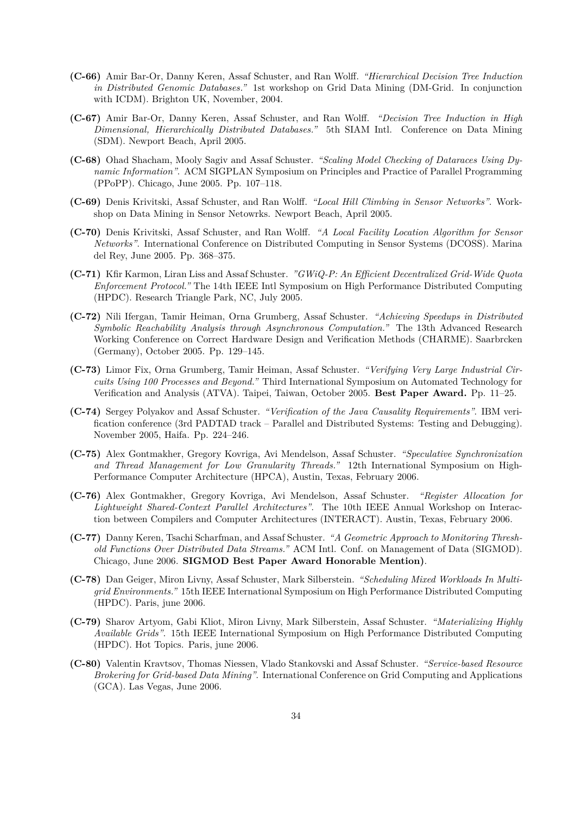- **(C-66)** Amir Bar-Or, Danny Keren, Assaf Schuster, and Ran Wolff. *"Hierarchical Decision Tree Induction in Distributed Genomic Databases."* 1st workshop on Grid Data Mining (DM-Grid. In conjunction with ICDM). Brighton UK, November, 2004.
- **(C-67)** Amir Bar-Or, Danny Keren, Assaf Schuster, and Ran Wolff. *"Decision Tree Induction in High Dimensional, Hierarchically Distributed Databases."* 5th SIAM Intl. Conference on Data Mining (SDM). Newport Beach, April 2005.
- **(C-68)** Ohad Shacham, Mooly Sagiv and Assaf Schuster. *"Scaling Model Checking of Dataraces Using Dynamic Information"*. ACM SIGPLAN Symposium on Principles and Practice of Parallel Programming (PPoPP). Chicago, June 2005. Pp. 107–118.
- **(C-69)** Denis Krivitski, Assaf Schuster, and Ran Wolff. *"Local Hill Climbing in Sensor Networks"*. Workshop on Data Mining in Sensor Netowrks. Newport Beach, April 2005.
- **(C-70)** Denis Krivitski, Assaf Schuster, and Ran Wolff. *"A Local Facility Location Algorithm for Sensor Networks"*. International Conference on Distributed Computing in Sensor Systems (DCOSS). Marina del Rey, June 2005. Pp. 368–375.
- **(C-71)** Kfir Karmon, Liran Liss and Assaf Schuster. *"GWiQ-P: An Efficient Decentralized Grid-Wide Quota Enforcement Protocol."* The 14th IEEE Intl Symposium on High Performance Distributed Computing (HPDC). Research Triangle Park, NC, July 2005.
- **(C-72)** Nili Ifergan, Tamir Heiman, Orna Grumberg, Assaf Schuster. *"Achieving Speedups in Distributed Symbolic Reachability Analysis through Asynchronous Computation."* The 13th Advanced Research Working Conference on Correct Hardware Design and Verification Methods (CHARME). Saarbrcken (Germany), October 2005. Pp. 129–145.
- **(C-73)** Limor Fix, Orna Grumberg, Tamir Heiman, Assaf Schuster. *"Verifying Very Large Industrial Circuits Using 100 Processes and Beyond."* Third International Symposium on Automated Technology for Verification and Analysis (ATVA). Taipei, Taiwan, October 2005. **Best Paper Award.** Pp. 11–25.
- **(C-74)** Sergey Polyakov and Assaf Schuster. *"Verification of the Java Causality Requirements"*. IBM verification conference (3rd PADTAD track – Parallel and Distributed Systems: Testing and Debugging). November 2005, Haifa. Pp. 224–246.
- **(C-75)** Alex Gontmakher, Gregory Kovriga, Avi Mendelson, Assaf Schuster. *"Speculative Synchronization and Thread Management for Low Granularity Threads."* 12th International Symposium on High-Performance Computer Architecture (HPCA), Austin, Texas, February 2006.
- **(C-76)** Alex Gontmakher, Gregory Kovriga, Avi Mendelson, Assaf Schuster. *"Register Allocation for Lightweight Shared-Context Parallel Architectures"*. The 10th IEEE Annual Workshop on Interaction between Compilers and Computer Architectures (INTERACT). Austin, Texas, February 2006.
- **(C-77)** Danny Keren, Tsachi Scharfman, and Assaf Schuster. *"A Geometric Approach to Monitoring Threshold Functions Over Distributed Data Streams."* ACM Intl. Conf. on Management of Data (SIGMOD). Chicago, June 2006. **SIGMOD Best Paper Award Honorable Mention)**.
- **(C-78)** Dan Geiger, Miron Livny, Assaf Schuster, Mark Silberstein. *"Scheduling Mixed Workloads In Multigrid Environments."* 15th IEEE International Symposium on High Performance Distributed Computing (HPDC). Paris, june 2006.
- **(C-79)** Sharov Artyom, Gabi Kliot, Miron Livny, Mark Silberstein, Assaf Schuster. *"Materializing Highly Available Grids"*. 15th IEEE International Symposium on High Performance Distributed Computing (HPDC). Hot Topics. Paris, june 2006.
- **(C-80)** Valentin Kravtsov, Thomas Niessen, Vlado Stankovski and Assaf Schuster. *"Service-based Resource Brokering for Grid-based Data Mining"*. International Conference on Grid Computing and Applications (GCA). Las Vegas, June 2006.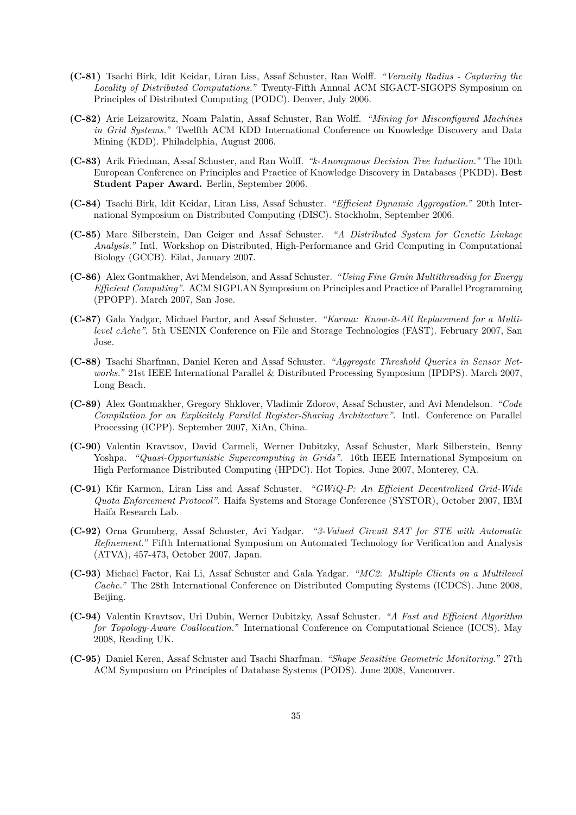- **(C-81)** Tsachi Birk, Idit Keidar, Liran Liss, Assaf Schuster, Ran Wolff. *"Veracity Radius Capturing the Locality of Distributed Computations."* Twenty-Fifth Annual ACM SIGACT-SIGOPS Symposium on Principles of Distributed Computing (PODC). Denver, July 2006.
- **(C-82)** Arie Leizarowitz, Noam Palatin, Assaf Schuster, Ran Wolff. *"Mining for Misconfigured Machines in Grid Systems."* Twelfth ACM KDD International Conference on Knowledge Discovery and Data Mining (KDD). Philadelphia, August 2006.
- **(C-83)** Arik Friedman, Assaf Schuster, and Ran Wolff. *"k-Anonymous Decision Tree Induction."* The 10th European Conference on Principles and Practice of Knowledge Discovery in Databases (PKDD). **Best Student Paper Award.** Berlin, September 2006.
- **(C-84)** Tsachi Birk, Idit Keidar, Liran Liss, Assaf Schuster. *"Efficient Dynamic Aggregation."* 20th International Symposium on Distributed Computing (DISC). Stockholm, September 2006.
- **(C-85)** Marc Silberstein, Dan Geiger and Assaf Schuster. *"A Distributed System for Genetic Linkage Analysis."* Intl. Workshop on Distributed, High-Performance and Grid Computing in Computational Biology (GCCB). Eilat, January 2007.
- **(C-86)** Alex Gontmakher, Avi Mendelson, and Assaf Schuster. *"Using Fine Grain Multithreading for Energy Efficient Computing"*. ACM SIGPLAN Symposium on Principles and Practice of Parallel Programming (PPOPP). March 2007, San Jose.
- **(C-87)** Gala Yadgar, Michael Factor, and Assaf Schuster. *"Karma: Know-it-All Replacement for a Multilevel cAche"*. 5th USENIX Conference on File and Storage Technologies (FAST). February 2007, San Jose.
- **(C-88)** Tsachi Sharfman, Daniel Keren and Assaf Schuster. *"Aggregate Threshold Queries in Sensor Networks."* 21st IEEE International Parallel & Distributed Processing Symposium (IPDPS). March 2007, Long Beach.
- **(C-89)** Alex Gontmakher, Gregory Shklover, Vladimir Zdorov, Assaf Schuster, and Avi Mendelson. *"Code Compilation for an Explicitely Parallel Register-Sharing Architecture"*. Intl. Conference on Parallel Processing (ICPP). September 2007, XiAn, China.
- **(C-90)** Valentin Kravtsov, David Carmeli, Werner Dubitzky, Assaf Schuster, Mark Silberstein, Benny Yoshpa. *"Quasi-Opportunistic Supercomputing in Grids"*. 16th IEEE International Symposium on High Performance Distributed Computing (HPDC). Hot Topics. June 2007, Monterey, CA.
- **(C-91)** Kfir Karmon, Liran Liss and Assaf Schuster. *"GWiQ-P: An Efficient Decentralized Grid-Wide Quota Enforcement Protocol"*. Haifa Systems and Storage Conference (SYSTOR), October 2007, IBM Haifa Research Lab.
- **(C-92)** Orna Grumberg, Assaf Schuster, Avi Yadgar. *"3-Valued Circuit SAT for STE with Automatic Refinement."* Fifth International Symposium on Automated Technology for Verification and Analysis (ATVA), 457-473, October 2007, Japan.
- **(C-93)** Michael Factor, Kai Li, Assaf Schuster and Gala Yadgar. *"MC2: Multiple Clients on a Multilevel Cache."* The 28th International Conference on Distributed Computing Systems (ICDCS). June 2008, Beijing.
- **(C-94)** Valentin Kravtsov, Uri Dubin, Werner Dubitzky, Assaf Schuster. *"A Fast and Efficient Algorithm for Topology-Aware Coallocation."* International Conference on Computational Science (ICCS). May 2008, Reading UK.
- **(C-95)** Daniel Keren, Assaf Schuster and Tsachi Sharfman. *"Shape Sensitive Geometric Monitoring."* 27th ACM Symposium on Principles of Database Systems (PODS). June 2008, Vancouver.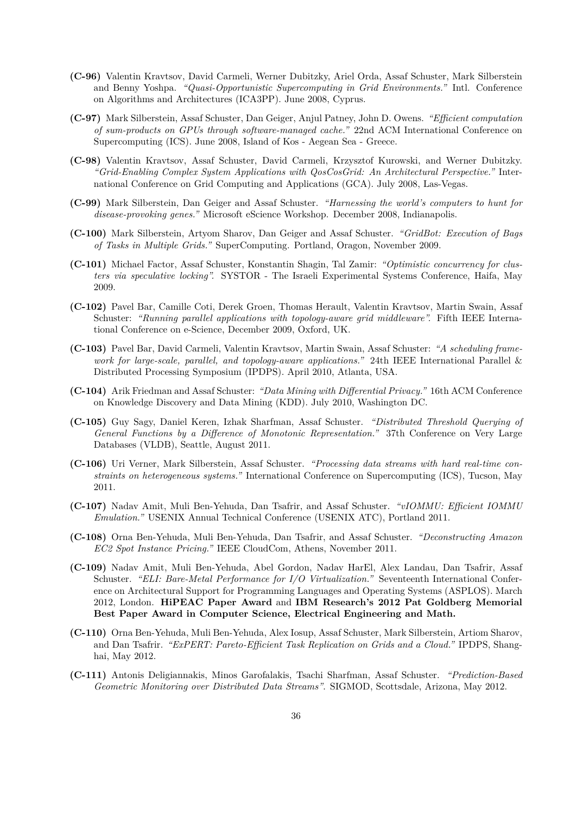- **(C-96)** Valentin Kravtsov, David Carmeli, Werner Dubitzky, Ariel Orda, Assaf Schuster, Mark Silberstein and Benny Yoshpa. *"Quasi-Opportunistic Supercomputing in Grid Environments."* Intl. Conference on Algorithms and Architectures (ICA3PP). June 2008, Cyprus.
- **(C-97)** Mark Silberstein, Assaf Schuster, Dan Geiger, Anjul Patney, John D. Owens. *"Efficient computation of sum-products on GPUs through software-managed cache."* 22nd ACM International Conference on Supercomputing (ICS). June 2008, Island of Kos - Aegean Sea - Greece.
- **(C-98)** Valentin Kravtsov, Assaf Schuster, David Carmeli, Krzysztof Kurowski, and Werner Dubitzky. *"Grid-Enabling Complex System Applications with QosCosGrid: An Architectural Perspective."* International Conference on Grid Computing and Applications (GCA). July 2008, Las-Vegas.
- **(C-99)** Mark Silberstein, Dan Geiger and Assaf Schuster. *"Harnessing the world's computers to hunt for disease-provoking genes."* Microsoft eScience Workshop. December 2008, Indianapolis.
- **(C-100)** Mark Silberstein, Artyom Sharov, Dan Geiger and Assaf Schuster. *"GridBot: Execution of Bags of Tasks in Multiple Grids."* SuperComputing. Portland, Oragon, November 2009.
- **(C-101)** Michael Factor, Assaf Schuster, Konstantin Shagin, Tal Zamir: *"Optimistic concurrency for clusters via speculative locking".* SYSTOR - The Israeli Experimental Systems Conference, Haifa, May 2009.
- **(C-102)** Pavel Bar, Camille Coti, Derek Groen, Thomas Herault, Valentin Kravtsov, Martin Swain, Assaf Schuster: *"Running parallel applications with topology-aware grid middleware".* Fifth IEEE International Conference on e-Science, December 2009, Oxford, UK.
- **(C-103)** Pavel Bar, David Carmeli, Valentin Kravtsov, Martin Swain, Assaf Schuster: *"A scheduling framework for large-scale, parallel, and topology-aware applications."* 24th IEEE International Parallel & Distributed Processing Symposium (IPDPS). April 2010, Atlanta, USA.
- **(C-104)** Arik Friedman and Assaf Schuster: *"Data Mining with Differential Privacy."* 16th ACM Conference on Knowledge Discovery and Data Mining (KDD). July 2010, Washington DC.
- **(C-105)** Guy Sagy, Daniel Keren, Izhak Sharfman, Assaf Schuster. *"Distributed Threshold Querying of General Functions by a Difference of Monotonic Representation."* 37th Conference on Very Large Databases (VLDB), Seattle, August 2011.
- **(C-106)** Uri Verner, Mark Silberstein, Assaf Schuster. *"Processing data streams with hard real-time constraints on heterogeneous systems."* International Conference on Supercomputing (ICS), Tucson, May 2011.
- **(C-107)** Nadav Amit, Muli Ben-Yehuda, Dan Tsafrir, and Assaf Schuster. *"vIOMMU: Efficient IOMMU Emulation."* USENIX Annual Technical Conference (USENIX ATC), Portland 2011.
- **(C-108)** Orna Ben-Yehuda, Muli Ben-Yehuda, Dan Tsafrir, and Assaf Schuster. *"Deconstructing Amazon EC2 Spot Instance Pricing."* IEEE CloudCom, Athens, November 2011.
- **(C-109)** Nadav Amit, Muli Ben-Yehuda, Abel Gordon, Nadav HarEl, Alex Landau, Dan Tsafrir, Assaf Schuster. *"ELI: Bare-Metal Performance for I/O Virtualization."* Seventeenth International Conference on Architectural Support for Programming Languages and Operating Systems (ASPLOS). March 2012, London. **HiPEAC Paper Award** and **IBM Research's 2012 Pat Goldberg Memorial Best Paper Award in Computer Science, Electrical Engineering and Math.**
- **(C-110)** Orna Ben-Yehuda, Muli Ben-Yehuda, Alex Iosup, Assaf Schuster, Mark Silberstein, Artiom Sharov, and Dan Tsafrir. *"ExPERT: Pareto-Efficient Task Replication on Grids and a Cloud."* IPDPS, Shanghai, May 2012.
- **(C-111)** Antonis Deligiannakis, Minos Garofalakis, Tsachi Sharfman, Assaf Schuster. *"Prediction-Based Geometric Monitoring over Distributed Data Streams"*. SIGMOD, Scottsdale, Arizona, May 2012.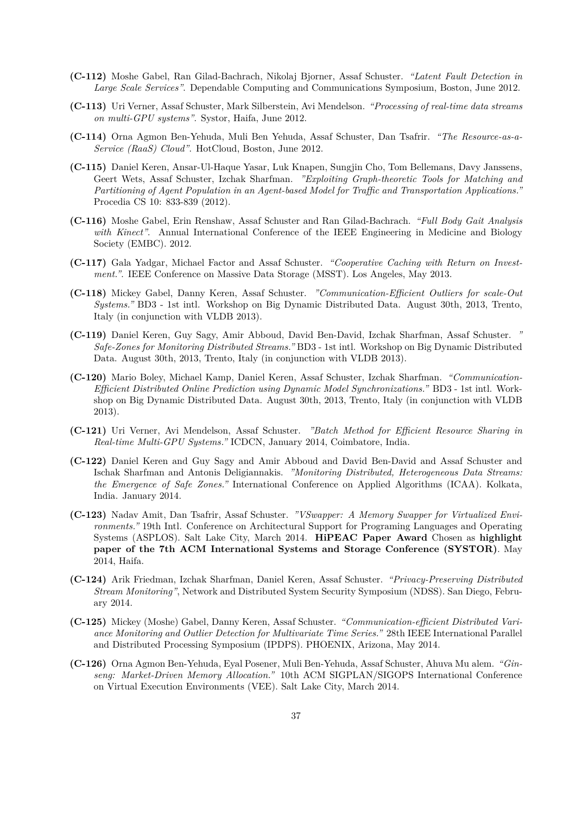- **(C-112)** Moshe Gabel, Ran Gilad-Bachrach, Nikolaj Bjorner, Assaf Schuster. *"Latent Fault Detection in Large Scale Services"*. Dependable Computing and Communications Symposium, Boston, June 2012.
- **(C-113)** Uri Verner, Assaf Schuster, Mark Silberstein, Avi Mendelson. *"Processing of real-time data streams on multi-GPU systems"*. Systor, Haifa, June 2012.
- **(C-114)** Orna Agmon Ben-Yehuda, Muli Ben Yehuda, Assaf Schuster, Dan Tsafrir. *"The Resource-as-a-Service (RaaS) Cloud"*. HotCloud, Boston, June 2012.
- **(C-115)** Daniel Keren, Ansar-Ul-Haque Yasar, Luk Knapen, Sungjin Cho, Tom Bellemans, Davy Janssens, Geert Wets, Assaf Schuster, Izchak Sharfman. *"Exploiting Graph-theoretic Tools for Matching and Partitioning of Agent Population in an Agent-based Model for Traffic and Transportation Applications."* Procedia CS 10: 833-839 (2012).
- **(C-116)** Moshe Gabel, Erin Renshaw, Assaf Schuster and Ran Gilad-Bachrach. *"Full Body Gait Analysis* with Kinect". Annual International Conference of the IEEE Engineering in Medicine and Biology Society (EMBC). 2012.
- **(C-117)** Gala Yadgar, Michael Factor and Assaf Schuster. *"Cooperative Caching with Return on Investment."*. IEEE Conference on Massive Data Storage (MSST). Los Angeles, May 2013.
- **(C-118)** Mickey Gabel, Danny Keren, Assaf Schuster. *"Communication-Efficient Outliers for scale-Out Systems."* BD3 - 1st intl. Workshop on Big Dynamic Distributed Data. August 30th, 2013, Trento, Italy (in conjunction with VLDB 2013).
- **(C-119)** Daniel Keren, Guy Sagy, Amir Abboud, David Ben-David, Izchak Sharfman, Assaf Schuster. *" Safe-Zones for Monitoring Distributed Streams."* BD3 - 1st intl. Workshop on Big Dynamic Distributed Data. August 30th, 2013, Trento, Italy (in conjunction with VLDB 2013).
- **(C-120)** Mario Boley, Michael Kamp, Daniel Keren, Assaf Schuster, Izchak Sharfman. *"Communication-Efficient Distributed Online Prediction using Dynamic Model Synchronizations."* BD3 - 1st intl. Workshop on Big Dynamic Distributed Data. August 30th, 2013, Trento, Italy (in conjunction with VLDB 2013).
- **(C-121)** Uri Verner, Avi Mendelson, Assaf Schuster. *"Batch Method for Efficient Resource Sharing in Real-time Multi-GPU Systems."* ICDCN, January 2014, Coimbatore, India.
- **(C-122)** Daniel Keren and Guy Sagy and Amir Abboud and David Ben-David and Assaf Schuster and Ischak Sharfman and Antonis Deligiannakis. *"Monitoring Distributed, Heterogeneous Data Streams: the Emergence of Safe Zones."* International Conference on Applied Algorithms (ICAA). Kolkata, India. January 2014.
- **(C-123)** Nadav Amit, Dan Tsafrir, Assaf Schuster. *"VSwapper: A Memory Swapper for Virtualized Environments."* 19th Intl. Conference on Architectural Support for Programing Languages and Operating Systems (ASPLOS). Salt Lake City, March 2014. **HiPEAC Paper Award** Chosen as **highlight paper of the 7th ACM International Systems and Storage Conference (SYSTOR)**. May 2014, Haifa.
- **(C-124)** Arik Friedman, Izchak Sharfman, Daniel Keren, Assaf Schuster. *"Privacy-Preserving Distributed Stream Monitoring"*, Network and Distributed System Security Symposium (NDSS). San Diego, February 2014.
- **(C-125)** Mickey (Moshe) Gabel, Danny Keren, Assaf Schuster. *"Communication-efficient Distributed Variance Monitoring and Outlier Detection for Multivariate Time Series."* 28th IEEE International Parallel and Distributed Processing Symposium (IPDPS). PHOENIX, Arizona, May 2014.
- (C-126) Orna Agmon Ben-Yehuda, Eyal Posener, Muli Ben-Yehuda, Assaf Schuster, Ahuva Mu alem. *"Ginseng: Market-Driven Memory Allocation."* 10th ACM SIGPLAN/SIGOPS International Conference on Virtual Execution Environments (VEE). Salt Lake City, March 2014.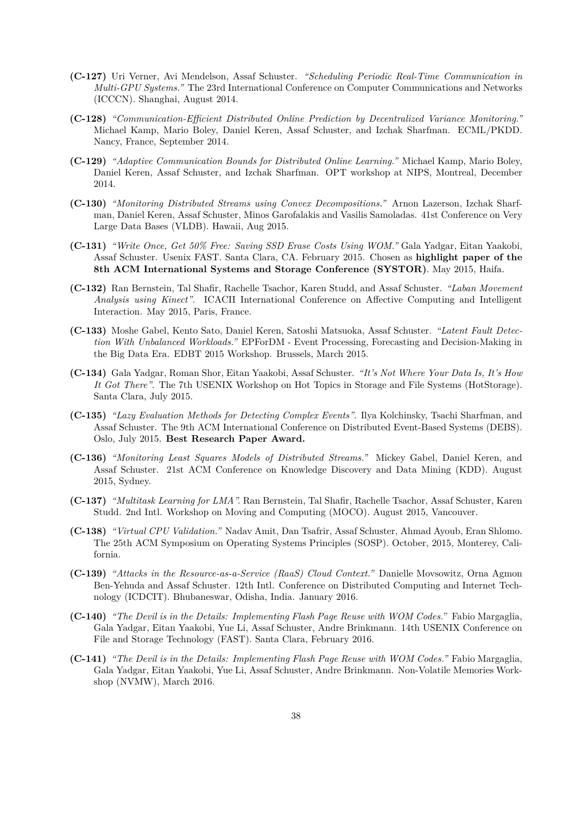- **(C-127)** Uri Verner, Avi Mendelson, Assaf Schuster. *"Scheduling Periodic Real-Time Communication in Multi-GPU Systems."* The 23rd International Conference on Computer Communications and Networks (ICCCN). Shanghai, August 2014.
- **(C-128)** *"Communication-Efficient Distributed Online Prediction by Decentralized Variance Monitoring."* Michael Kamp, Mario Boley, Daniel Keren, Assaf Schuster, and Izchak Sharfman. ECML/PKDD. Nancy, France, September 2014.
- **(C-129)** *"Adaptive Communication Bounds for Distributed Online Learning."* Michael Kamp, Mario Boley, Daniel Keren, Assaf Schuster, and Izchak Sharfman. OPT workshop at NIPS, Montreal, December 2014.
- **(C-130)** *"Monitoring Distributed Streams using Convex Decompositions."* Arnon Lazerson, Izchak Sharfman, Daniel Keren, Assaf Schuster, Minos Garofalakis and Vasilis Samoladas. 41st Conference on Very Large Data Bases (VLDB). Hawaii, Aug 2015.
- **(C-131)** *"Write Once, Get 50% Free: Saving SSD Erase Costs Using WOM."* Gala Yadgar, Eitan Yaakobi, Assaf Schuster. Usenix FAST. Santa Clara, CA. February 2015. Chosen as **highlight paper of the 8th ACM International Systems and Storage Conference (SYSTOR)**. May 2015, Haifa.
- **(C-132)** Ran Bernstein, Tal Shafir, Rachelle Tsachor, Karen Studd, and Assaf Schuster. *"Laban Movement Analysis using Kinect"*. ICACII International Conference on Affective Computing and Intelligent Interaction. May 2015, Paris, France.
- **(C-133)** Moshe Gabel, Kento Sato, Daniel Keren, Satoshi Matsuoka, Assaf Schuster. *"Latent Fault Detection With Unbalanced Workloads."* EPForDM - Event Processing, Forecasting and Decision-Making in the Big Data Era. EDBT 2015 Workshop. Brussels, March 2015.
- **(C-134)** Gala Yadgar, Roman Shor, Eitan Yaakobi, Assaf Schuster. *"It's Not Where Your Data Is, It's How It Got There"*. The 7th USENIX Workshop on Hot Topics in Storage and File Systems (HotStorage). Santa Clara, July 2015.
- **(C-135)** *"Lazy Evaluation Methods for Detecting Complex Events"*. Ilya Kolchinsky, Tsachi Sharfman, and Assaf Schuster. The 9th ACM International Conference on Distributed Event-Based Systems (DEBS). Oslo, July 2015. **Best Research Paper Award.**
- **(C-136)** *"Monitoring Least Squares Models of Distributed Streams."* Mickey Gabel, Daniel Keren, and Assaf Schuster. 21st ACM Conference on Knowledge Discovery and Data Mining (KDD). August 2015, Sydney.
- **(C-137)** *"Multitask Learning for LMA".* Ran Bernstein, Tal Shafir, Rachelle Tsachor, Assaf Schuster, Karen Studd. 2nd Intl. Workshop on Moving and Computing (MOCO). August 2015, Vancouver.
- **(C-138)** *"Virtual CPU Validation."* Nadav Amit, Dan Tsafrir, Assaf Schuster, Ahmad Ayoub, Eran Shlomo. The 25th ACM Symposium on Operating Systems Principles (SOSP). October, 2015, Monterey, California.
- **(C-139)** *"Attacks in the Resource-as-a-Service (RaaS) Cloud Context."* Danielle Movsowitz, Orna Agmon Ben-Yehuda and Assaf Schuster. 12th Intl. Conference on Distributed Computing and Internet Technology (ICDCIT). Bhubaneswar, Odisha, India. January 2016.
- **(C-140)** *"The Devil is in the Details: Implementing Flash Page Reuse with WOM Codes.*" Fabio Margaglia, Gala Yadgar, Eitan Yaakobi, Yue Li, Assaf Schuster, Andre Brinkmann. 14th USENIX Conference on File and Storage Technology (FAST). Santa Clara, February 2016.
- **(C-141)** *"The Devil is in the Details: Implementing Flash Page Reuse with WOM Codes."* Fabio Margaglia, Gala Yadgar, Eitan Yaakobi, Yue Li, Assaf Schuster, Andre Brinkmann. Non-Volatile Memories Workshop (NVMW), March 2016.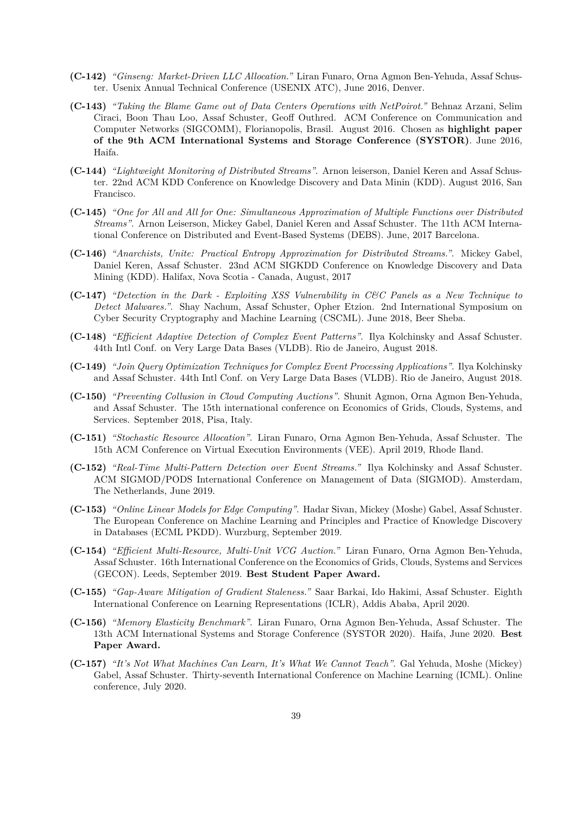- **(C-142)** *"Ginseng: Market-Driven LLC Allocation."* Liran Funaro, Orna Agmon Ben-Yehuda, Assaf Schuster. Usenix Annual Technical Conference (USENIX ATC), June 2016, Denver.
- **(C-143)** *"Taking the Blame Game out of Data Centers Operations with NetPoirot."* Behnaz Arzani, Selim Ciraci, Boon Thau Loo, Assaf Schuster, Geoff Outhred. ACM Conference on Communication and Computer Networks (SIGCOMM), Florianopolis, Brasil. August 2016. Chosen as **highlight paper of the 9th ACM International Systems and Storage Conference (SYSTOR)**. June 2016, Haifa.
- **(C-144)** *"Lightweight Monitoring of Distributed Streams"*. Arnon leiserson, Daniel Keren and Assaf Schuster. 22nd ACM KDD Conference on Knowledge Discovery and Data Minin (KDD). August 2016, San Francisco.
- **(C-145)** *"One for All and All for One: Simultaneous Approximation of Multiple Functions over Distributed Streams"*. Arnon Leiserson, Mickey Gabel, Daniel Keren and Assaf Schuster. The 11th ACM International Conference on Distributed and Event-Based Systems (DEBS). June, 2017 Barcelona.
- **(C-146)** *"Anarchists, Unite: Practical Entropy Approximation for Distributed Streams."*. Mickey Gabel, Daniel Keren, Assaf Schuster. 23nd ACM SIGKDD Conference on Knowledge Discovery and Data Mining (KDD). Halifax, Nova Scotia - Canada, August, 2017
- **(C-147)** *"Detection in the Dark Exploiting XSS Vulnerability in C&C Panels as a New Technique to Detect Malwares."*. Shay Nachum, Assaf Schuster, Opher Etzion. 2nd International Symposium on Cyber Security Cryptography and Machine Learning (CSCML). June 2018, Beer Sheba.
- **(C-148)** *"Efficient Adaptive Detection of Complex Event Patterns"*. Ilya Kolchinsky and Assaf Schuster. 44th Intl Conf. on Very Large Data Bases (VLDB). Rio de Janeiro, August 2018.
- **(C-149)** *"Join Query Optimization Techniques for Complex Event Processing Applications"*. Ilya Kolchinsky and Assaf Schuster. 44th Intl Conf. on Very Large Data Bases (VLDB). Rio de Janeiro, August 2018.
- **(C-150)** *"Preventing Collusion in Cloud Computing Auctions"*. Shunit Agmon, Orna Agmon Ben-Yehuda, and Assaf Schuster. The 15th international conference on Economics of Grids, Clouds, Systems, and Services. September 2018, Pisa, Italy.
- **(C-151)** *"Stochastic Resource Allocation"*. Liran Funaro, Orna Agmon Ben-Yehuda, Assaf Schuster. The 15th ACM Conference on Virtual Execution Environments (VEE). April 2019, Rhode Iland.
- **(C-152)** *"Real-Time Multi-Pattern Detection over Event Streams."* Ilya Kolchinsky and Assaf Schuster. ACM SIGMOD/PODS International Conference on Management of Data (SIGMOD). Amsterdam, The Netherlands, June 2019.
- **(C-153)** *"Online Linear Models for Edge Computing"*. Hadar Sivan, Mickey (Moshe) Gabel, Assaf Schuster. The European Conference on Machine Learning and Principles and Practice of Knowledge Discovery in Databases (ECML PKDD). Wurzburg, September 2019.
- **(C-154)** *"Efficient Multi-Resource, Multi-Unit VCG Auction."* Liran Funaro, Orna Agmon Ben-Yehuda, Assaf Schuster. 16th International Conference on the Economics of Grids, Clouds, Systems and Services (GECON). Leeds, September 2019. **Best Student Paper Award.**
- **(C-155)** *"Gap-Aware Mitigation of Gradient Staleness."* Saar Barkai, Ido Hakimi, Assaf Schuster. Eighth International Conference on Learning Representations (ICLR), Addis Ababa, April 2020.
- **(C-156)** *"Memory Elasticity Benchmark"*. Liran Funaro, Orna Agmon Ben-Yehuda, Assaf Schuster. The 13th ACM International Systems and Storage Conference (SYSTOR 2020). Haifa, June 2020. **Best Paper Award.**
- **(C-157)** *"It's Not What Machines Can Learn, It's What We Cannot Teach"*. Gal Yehuda, Moshe (Mickey) Gabel, Assaf Schuster. Thirty-seventh International Conference on Machine Learning (ICML). Online conference, July 2020.